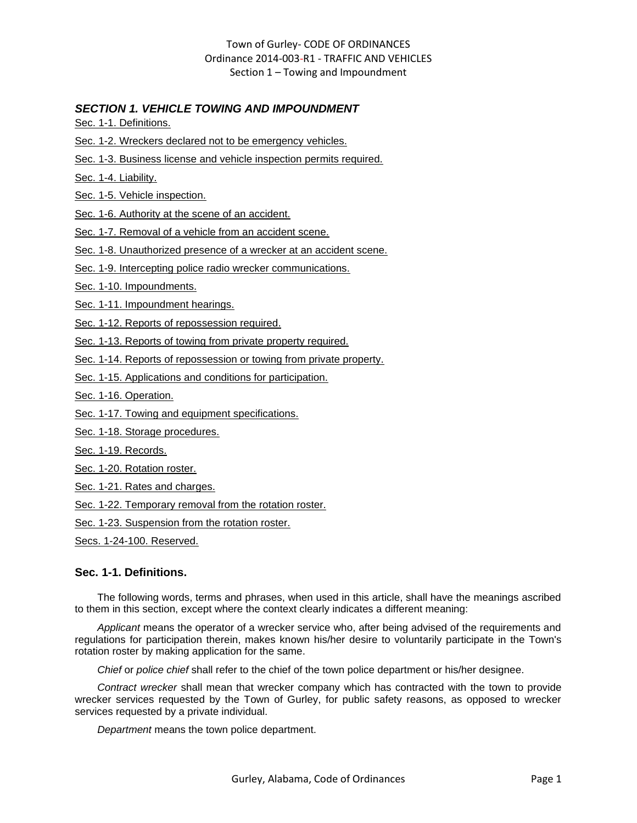## *SECTION 1. VEHICLE TOWING AND IMPOUNDMENT*

[Sec. 1-1. Definitions.](#page-0-0)

- [Sec. 1-2. Wreckers declared not to be emergency vehicles.](#page-2-0)
- [Sec. 1-3. Business license and vehicle inspection permits required.](#page-2-1)
- [Sec. 1-4. Liability.](#page-2-2)
- [Sec. 1-5. Vehicle inspection.](#page-2-3)
- [Sec. 1-6. Authority at the scene of an accident.](#page-5-0)
- [Sec. 1-7. Removal of a vehicle from an accident scene.](#page-5-1)
- [Sec. 1-8. Unauthorized presence of a wrecker at an accident scene.](#page-5-2)
- [Sec. 1-9. Intercepting police radio wrecker communications.](#page-5-3)

[Sec. 1-10. Impoundments.](#page-5-4)

- [Sec. 1-11. Impoundment hearings.](#page-7-0)
- [Sec. 1-12. Reports of repossession required.](#page-7-1)
- [Sec. 1-13. Reports of towing from private property required.](#page-7-2)
- [Sec. 1-14. Reports of repossession or towing from private property.](#page-8-0)
- [Sec. 1-15. Applications and conditions for participation.](#page-8-1)
- [Sec. 1-16. Operation.](#page-11-0)
- [Sec. 1-17. Towing and equipment specifications.](#page-13-0)
- [Sec. 1-18. Storage procedures.](#page-13-1)
- [Sec. 1-19. Records.](#page-14-0)
- [Sec. 1-20. Rotation roster.](#page-14-1)
- [Sec. 1-21. Rates and charges.](#page-15-0)
- [Sec. 1-22. Temporary removal from the rotation roster.](#page-17-0)
- [Sec. 1-23. Suspension from the rotation roster.](#page-17-1)

Secs. 1-24-100. Reserved.

## <span id="page-0-0"></span>**Sec. 1-1. Definitions.**

The following words, terms and phrases, when used in this article, shall have the meanings ascribed to them in this section, except where the context clearly indicates a different meaning:

*Applicant* means the operator of a wrecker service who, after being advised of the requirements and regulations for participation therein, makes known his/her desire to voluntarily participate in the Town's rotation roster by making application for the same.

*Chief* or *police chief* shall refer to the chief of the town police department or his/her designee.

*Contract wrecker* shall mean that wrecker company which has contracted with the town to provide wrecker services requested by the Town of Gurley, for public safety reasons, as opposed to wrecker services requested by a private individual.

*Department* means the town police department.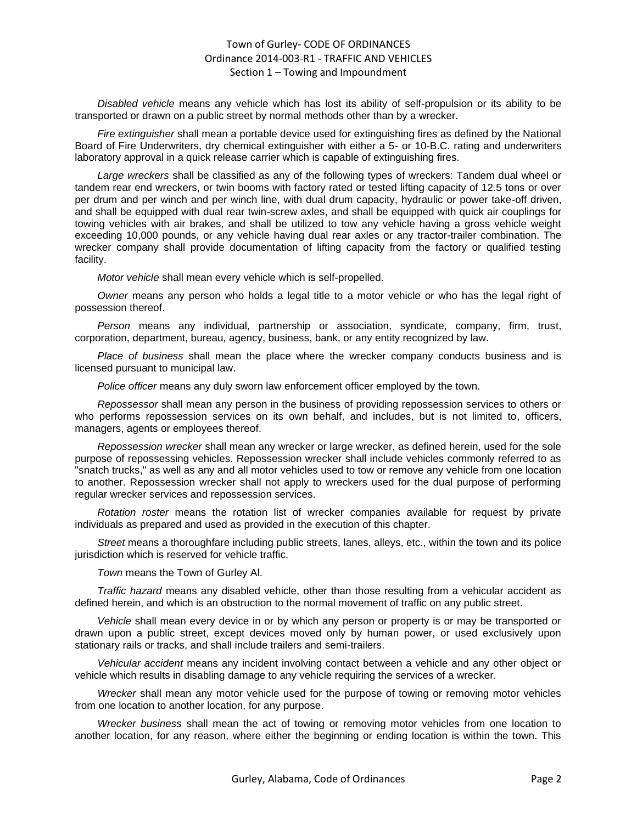### Town of Gurley- CODE OF ORDINANCES Ordinance 2014-003-R1 - TRAFFIC AND VEHICLES Section 1 – Towing and Impoundment

*Disabled vehicle* means any vehicle which has lost its ability of self-propulsion or its ability to be transported or drawn on a public street by normal methods other than by a wrecker.

*Fire extinguisher* shall mean a portable device used for extinguishing fires as defined by the National Board of Fire Underwriters, dry chemical extinguisher with either a 5- or 10-B.C. rating and underwriters laboratory approval in a quick release carrier which is capable of extinguishing fires.

*Large wreckers* shall be classified as any of the following types of wreckers: Tandem dual wheel or tandem rear end wreckers, or twin booms with factory rated or tested lifting capacity of 12.5 tons or over per drum and per winch and per winch line, with dual drum capacity, hydraulic or power take-off driven, and shall be equipped with dual rear twin-screw axles, and shall be equipped with quick air couplings for towing vehicles with air brakes, and shall be utilized to tow any vehicle having a gross vehicle weight exceeding 10,000 pounds, or any vehicle having dual rear axles or any tractor-trailer combination. The wrecker company shall provide documentation of lifting capacity from the factory or qualified testing facility.

*Motor vehicle* shall mean every vehicle which is self-propelled.

*Owner* means any person who holds a legal title to a motor vehicle or who has the legal right of possession thereof.

*Person* means any individual, partnership or association, syndicate, company, firm, trust, corporation, department, bureau, agency, business, bank, or any entity recognized by law.

*Place of business* shall mean the place where the wrecker company conducts business and is licensed pursuant to municipal law.

*Police officer* means any duly sworn law enforcement officer employed by the town.

*Repossessor* shall mean any person in the business of providing repossession services to others or who performs repossession services on its own behalf, and includes, but is not limited to, officers, managers, agents or employees thereof.

*Repossession wrecker* shall mean any wrecker or large wrecker, as defined herein, used for the sole purpose of repossessing vehicles. Repossession wrecker shall include vehicles commonly referred to as "snatch trucks," as well as any and all motor vehicles used to tow or remove any vehicle from one location to another. Repossession wrecker shall not apply to wreckers used for the dual purpose of performing regular wrecker services and repossession services.

*Rotation roster* means the rotation list of wrecker companies available for request by private individuals as prepared and used as provided in the execution of this chapter.

*Street* means a thoroughfare including public streets, lanes, alleys, etc., within the town and its police jurisdiction which is reserved for vehicle traffic.

*Town* means the Town of Gurley Al.

*Traffic hazard* means any disabled vehicle, other than those resulting from a vehicular accident as defined herein, and which is an obstruction to the normal movement of traffic on any public street.

*Vehicle* shall mean every device in or by which any person or property is or may be transported or drawn upon a public street, except devices moved only by human power, or used exclusively upon stationary rails or tracks, and shall include trailers and semi-trailers.

*Vehicular accident* means any incident involving contact between a vehicle and any other object or vehicle which results in disabling damage to any vehicle requiring the services of a wrecker.

*Wrecker* shall mean any motor vehicle used for the purpose of towing or removing motor vehicles from one location to another location, for any purpose.

*Wrecker business* shall mean the act of towing or removing motor vehicles from one location to another location, for any reason, where either the beginning or ending location is within the town. This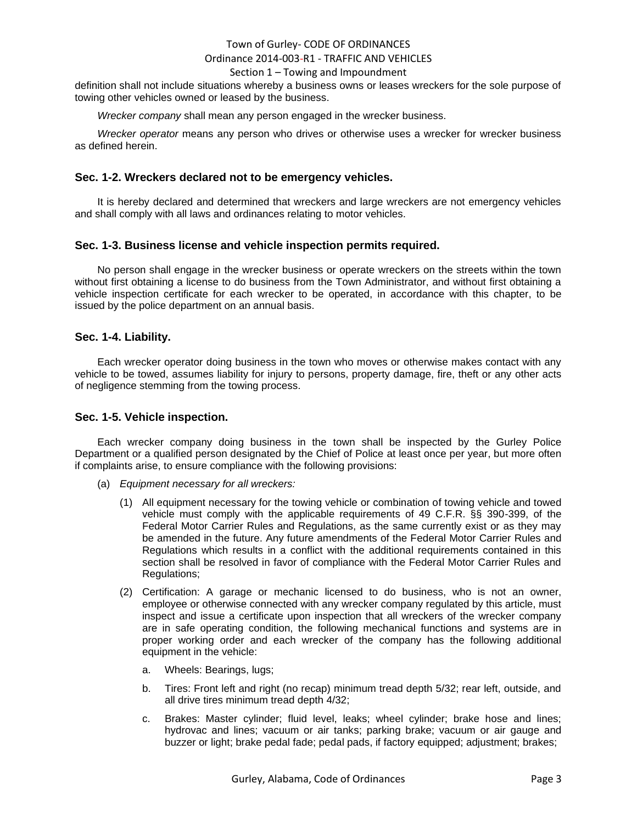#### Town of Gurley- CODE OF ORDINANCES

#### Ordinance 2014-003-R1 - TRAFFIC AND VEHICLES

#### Section 1 – Towing and Impoundment

definition shall not include situations whereby a business owns or leases wreckers for the sole purpose of towing other vehicles owned or leased by the business.

*Wrecker company* shall mean any person engaged in the wrecker business.

*Wrecker operator* means any person who drives or otherwise uses a wrecker for wrecker business as defined herein.

#### <span id="page-2-0"></span>**Sec. 1-2. Wreckers declared not to be emergency vehicles.**

It is hereby declared and determined that wreckers and large wreckers are not emergency vehicles and shall comply with all laws and ordinances relating to motor vehicles.

#### <span id="page-2-1"></span>**Sec. 1-3. Business license and vehicle inspection permits required.**

No person shall engage in the wrecker business or operate wreckers on the streets within the town without first obtaining a license to do business from the Town Administrator, and without first obtaining a vehicle inspection certificate for each wrecker to be operated, in accordance with this chapter, to be issued by the police department on an annual basis.

#### <span id="page-2-2"></span>**Sec. 1-4. Liability.**

Each wrecker operator doing business in the town who moves or otherwise makes contact with any vehicle to be towed, assumes liability for injury to persons, property damage, fire, theft or any other acts of negligence stemming from the towing process.

#### <span id="page-2-3"></span>**Sec. 1-5. Vehicle inspection.**

Each wrecker company doing business in the town shall be inspected by the Gurley Police Department or a qualified person designated by the Chief of Police at least once per year, but more often if complaints arise, to ensure compliance with the following provisions:

- (a) *Equipment necessary for all wreckers:*
	- (1) All equipment necessary for the towing vehicle or combination of towing vehicle and towed vehicle must comply with the applicable requirements of 49 C.F.R. §§ 390-399, of the Federal Motor Carrier Rules and Regulations, as the same currently exist or as they may be amended in the future. Any future amendments of the Federal Motor Carrier Rules and Regulations which results in a conflict with the additional requirements contained in this section shall be resolved in favor of compliance with the Federal Motor Carrier Rules and Regulations;
	- (2) Certification: A garage or mechanic licensed to do business, who is not an owner, employee or otherwise connected with any wrecker company regulated by this article, must inspect and issue a certificate upon inspection that all wreckers of the wrecker company are in safe operating condition, the following mechanical functions and systems are in proper working order and each wrecker of the company has the following additional equipment in the vehicle:
		- a. Wheels: Bearings, lugs;
		- b. Tires: Front left and right (no recap) minimum tread depth 5/32; rear left, outside, and all drive tires minimum tread depth 4/32;
		- c. Brakes: Master cylinder; fluid level, leaks; wheel cylinder; brake hose and lines; hydrovac and lines; vacuum or air tanks; parking brake; vacuum or air gauge and buzzer or light; brake pedal fade; pedal pads, if factory equipped; adjustment; brakes;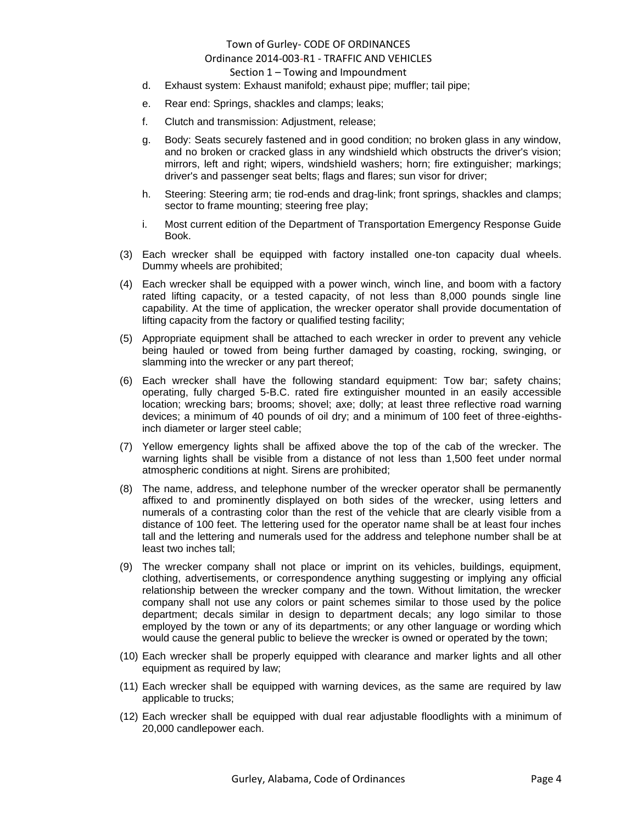#### Section 1 – Towing and Impoundment

- d. Exhaust system: Exhaust manifold; exhaust pipe; muffler; tail pipe;
- e. Rear end: Springs, shackles and clamps; leaks;
- f. Clutch and transmission: Adjustment, release;
- g. Body: Seats securely fastened and in good condition; no broken glass in any window, and no broken or cracked glass in any windshield which obstructs the driver's vision; mirrors, left and right; wipers, windshield washers; horn; fire extinguisher; markings; driver's and passenger seat belts; flags and flares; sun visor for driver;
- h. Steering: Steering arm; tie rod-ends and drag-link; front springs, shackles and clamps; sector to frame mounting; steering free play;
- i. Most current edition of the Department of Transportation Emergency Response Guide Book.
- (3) Each wrecker shall be equipped with factory installed one-ton capacity dual wheels. Dummy wheels are prohibited;
- (4) Each wrecker shall be equipped with a power winch, winch line, and boom with a factory rated lifting capacity, or a tested capacity, of not less than 8,000 pounds single line capability. At the time of application, the wrecker operator shall provide documentation of lifting capacity from the factory or qualified testing facility;
- (5) Appropriate equipment shall be attached to each wrecker in order to prevent any vehicle being hauled or towed from being further damaged by coasting, rocking, swinging, or slamming into the wrecker or any part thereof;
- (6) Each wrecker shall have the following standard equipment: Tow bar; safety chains; operating, fully charged 5-B.C. rated fire extinguisher mounted in an easily accessible location; wrecking bars; brooms; shovel; axe; dolly; at least three reflective road warning devices; a minimum of 40 pounds of oil dry; and a minimum of 100 feet of three-eighthsinch diameter or larger steel cable;
- (7) Yellow emergency lights shall be affixed above the top of the cab of the wrecker. The warning lights shall be visible from a distance of not less than 1,500 feet under normal atmospheric conditions at night. Sirens are prohibited;
- (8) The name, address, and telephone number of the wrecker operator shall be permanently affixed to and prominently displayed on both sides of the wrecker, using letters and numerals of a contrasting color than the rest of the vehicle that are clearly visible from a distance of 100 feet. The lettering used for the operator name shall be at least four inches tall and the lettering and numerals used for the address and telephone number shall be at least two inches tall;
- (9) The wrecker company shall not place or imprint on its vehicles, buildings, equipment, clothing, advertisements, or correspondence anything suggesting or implying any official relationship between the wrecker company and the town. Without limitation, the wrecker company shall not use any colors or paint schemes similar to those used by the police department; decals similar in design to department decals; any logo similar to those employed by the town or any of its departments; or any other language or wording which would cause the general public to believe the wrecker is owned or operated by the town;
- (10) Each wrecker shall be properly equipped with clearance and marker lights and all other equipment as required by law;
- (11) Each wrecker shall be equipped with warning devices, as the same are required by law applicable to trucks;
- (12) Each wrecker shall be equipped with dual rear adjustable floodlights with a minimum of 20,000 candlepower each.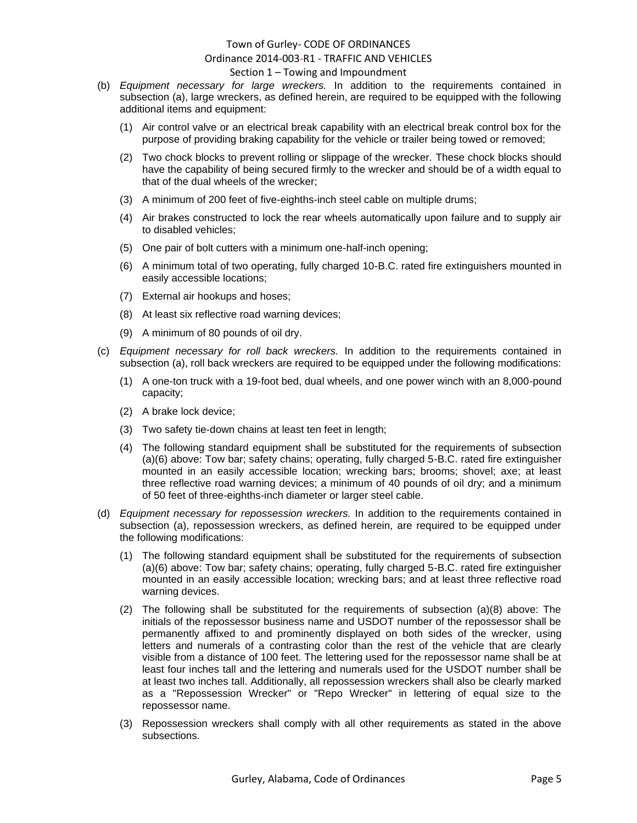#### Section 1 – Towing and Impoundment

- (b) *Equipment necessary for large wreckers.* In addition to the requirements contained in subsection (a), large wreckers, as defined herein, are required to be equipped with the following additional items and equipment:
	- (1) Air control valve or an electrical break capability with an electrical break control box for the purpose of providing braking capability for the vehicle or trailer being towed or removed;
	- (2) Two chock blocks to prevent rolling or slippage of the wrecker. These chock blocks should have the capability of being secured firmly to the wrecker and should be of a width equal to that of the dual wheels of the wrecker;
	- (3) A minimum of 200 feet of five-eighths-inch steel cable on multiple drums;
	- (4) Air brakes constructed to lock the rear wheels automatically upon failure and to supply air to disabled vehicles;
	- (5) One pair of bolt cutters with a minimum one-half-inch opening;
	- (6) A minimum total of two operating, fully charged 10-B.C. rated fire extinguishers mounted in easily accessible locations;
	- (7) External air hookups and hoses;
	- (8) At least six reflective road warning devices;
	- (9) A minimum of 80 pounds of oil dry.
- (c) *Equipment necessary for roll back wreckers.* In addition to the requirements contained in subsection (a), roll back wreckers are required to be equipped under the following modifications:
	- (1) A one-ton truck with a 19-foot bed, dual wheels, and one power winch with an 8,000-pound capacity;
	- (2) A brake lock device;
	- (3) Two safety tie-down chains at least ten feet in length;
	- (4) The following standard equipment shall be substituted for the requirements of subsection (a)(6) above: Tow bar; safety chains; operating, fully charged 5-B.C. rated fire extinguisher mounted in an easily accessible location; wrecking bars; brooms; shovel; axe; at least three reflective road warning devices; a minimum of 40 pounds of oil dry; and a minimum of 50 feet of three-eighths-inch diameter or larger steel cable.
- (d) *Equipment necessary for repossession wreckers.* In addition to the requirements contained in subsection (a), repossession wreckers, as defined herein, are required to be equipped under the following modifications:
	- (1) The following standard equipment shall be substituted for the requirements of subsection (a)(6) above: Tow bar; safety chains; operating, fully charged 5-B.C. rated fire extinguisher mounted in an easily accessible location; wrecking bars; and at least three reflective road warning devices.
	- (2) The following shall be substituted for the requirements of subsection (a)(8) above: The initials of the repossessor business name and USDOT number of the repossessor shall be permanently affixed to and prominently displayed on both sides of the wrecker, using letters and numerals of a contrasting color than the rest of the vehicle that are clearly visible from a distance of 100 feet. The lettering used for the repossessor name shall be at least four inches tall and the lettering and numerals used for the USDOT number shall be at least two inches tall. Additionally, all repossession wreckers shall also be clearly marked as a "Repossession Wrecker" or "Repo Wrecker" in lettering of equal size to the repossessor name.
	- (3) Repossession wreckers shall comply with all other requirements as stated in the above subsections.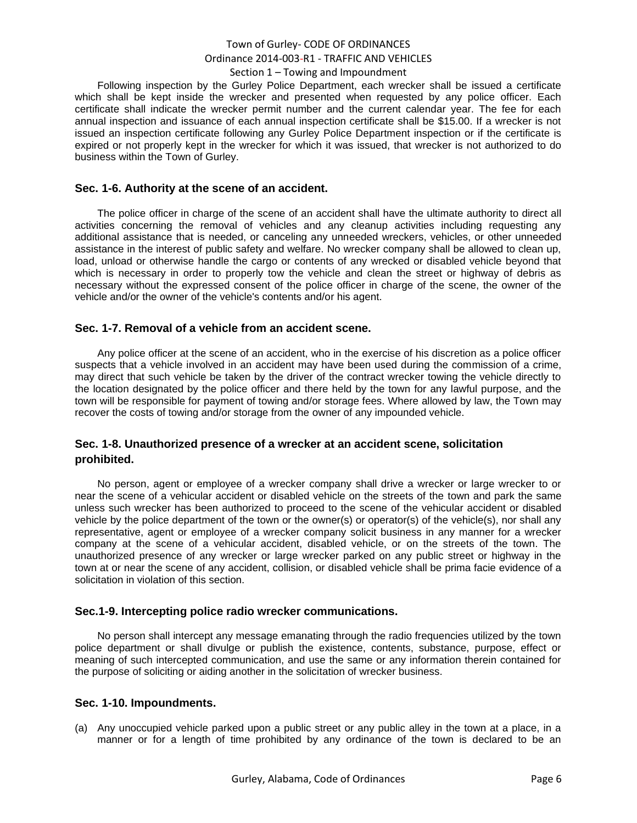#### Section 1 – Towing and Impoundment

Following inspection by the Gurley Police Department, each wrecker shall be issued a certificate which shall be kept inside the wrecker and presented when requested by any police officer. Each certificate shall indicate the wrecker permit number and the current calendar year. The fee for each annual inspection and issuance of each annual inspection certificate shall be \$15.00. If a wrecker is not issued an inspection certificate following any Gurley Police Department inspection or if the certificate is expired or not properly kept in the wrecker for which it was issued, that wrecker is not authorized to do business within the Town of Gurley.

#### <span id="page-5-0"></span>**Sec. 1-6. Authority at the scene of an accident.**

The police officer in charge of the scene of an accident shall have the ultimate authority to direct all activities concerning the removal of vehicles and any cleanup activities including requesting any additional assistance that is needed, or canceling any unneeded wreckers, vehicles, or other unneeded assistance in the interest of public safety and welfare. No wrecker company shall be allowed to clean up, load, unload or otherwise handle the cargo or contents of any wrecked or disabled vehicle beyond that which is necessary in order to properly tow the vehicle and clean the street or highway of debris as necessary without the expressed consent of the police officer in charge of the scene, the owner of the vehicle and/or the owner of the vehicle's contents and/or his agent.

#### <span id="page-5-1"></span>**Sec. 1-7. Removal of a vehicle from an accident scene.**

Any police officer at the scene of an accident, who in the exercise of his discretion as a police officer suspects that a vehicle involved in an accident may have been used during the commission of a crime, may direct that such vehicle be taken by the driver of the contract wrecker towing the vehicle directly to the location designated by the police officer and there held by the town for any lawful purpose, and the town will be responsible for payment of towing and/or storage fees. Where allowed by law, the Town may recover the costs of towing and/or storage from the owner of any impounded vehicle.

## <span id="page-5-2"></span>**Sec. 1-8. Unauthorized presence of a wrecker at an accident scene, solicitation prohibited.**

No person, agent or employee of a wrecker company shall drive a wrecker or large wrecker to or near the scene of a vehicular accident or disabled vehicle on the streets of the town and park the same unless such wrecker has been authorized to proceed to the scene of the vehicular accident or disabled vehicle by the police department of the town or the owner(s) or operator(s) of the vehicle(s), nor shall any representative, agent or employee of a wrecker company solicit business in any manner for a wrecker company at the scene of a vehicular accident, disabled vehicle, or on the streets of the town. The unauthorized presence of any wrecker or large wrecker parked on any public street or highway in the town at or near the scene of any accident, collision, or disabled vehicle shall be prima facie evidence of a solicitation in violation of this section.

### <span id="page-5-3"></span>**Sec.1-9. Intercepting police radio wrecker communications.**

No person shall intercept any message emanating through the radio frequencies utilized by the town police department or shall divulge or publish the existence, contents, substance, purpose, effect or meaning of such intercepted communication, and use the same or any information therein contained for the purpose of soliciting or aiding another in the solicitation of wrecker business.

#### <span id="page-5-4"></span>**Sec. 1-10. Impoundments.**

(a) Any unoccupied vehicle parked upon a public street or any public alley in the town at a place, in a manner or for a length of time prohibited by any ordinance of the town is declared to be an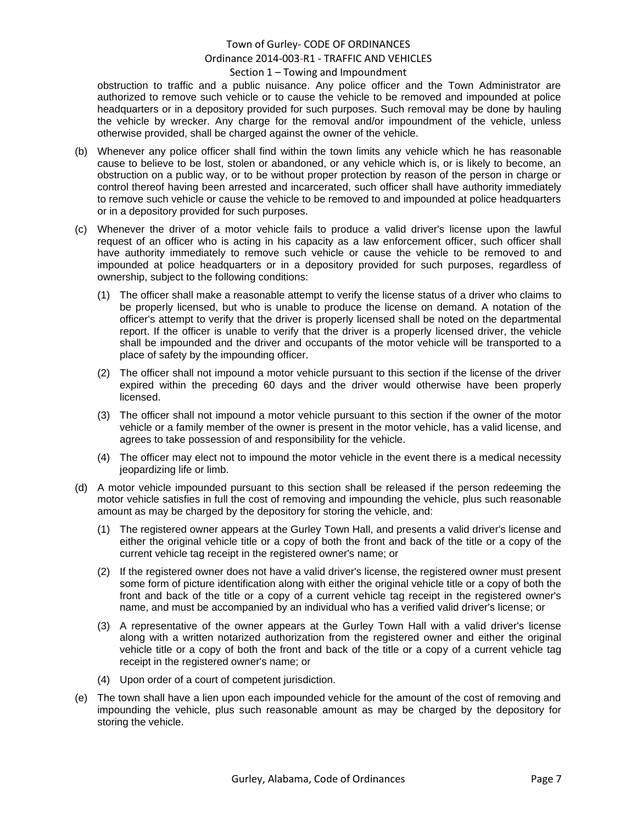#### Section 1 – Towing and Impoundment

obstruction to traffic and a public nuisance. Any police officer and the Town Administrator are authorized to remove such vehicle or to cause the vehicle to be removed and impounded at police headquarters or in a depository provided for such purposes. Such removal may be done by hauling the vehicle by wrecker. Any charge for the removal and/or impoundment of the vehicle, unless otherwise provided, shall be charged against the owner of the vehicle.

- (b) Whenever any police officer shall find within the town limits any vehicle which he has reasonable cause to believe to be lost, stolen or abandoned, or any vehicle which is, or is likely to become, an obstruction on a public way, or to be without proper protection by reason of the person in charge or control thereof having been arrested and incarcerated, such officer shall have authority immediately to remove such vehicle or cause the vehicle to be removed to and impounded at police headquarters or in a depository provided for such purposes.
- (c) Whenever the driver of a motor vehicle fails to produce a valid driver's license upon the lawful request of an officer who is acting in his capacity as a law enforcement officer, such officer shall have authority immediately to remove such vehicle or cause the vehicle to be removed to and impounded at police headquarters or in a depository provided for such purposes, regardless of ownership, subject to the following conditions:
	- (1) The officer shall make a reasonable attempt to verify the license status of a driver who claims to be properly licensed, but who is unable to produce the license on demand. A notation of the officer's attempt to verify that the driver is properly licensed shall be noted on the departmental report. If the officer is unable to verify that the driver is a properly licensed driver, the vehicle shall be impounded and the driver and occupants of the motor vehicle will be transported to a place of safety by the impounding officer.
	- (2) The officer shall not impound a motor vehicle pursuant to this section if the license of the driver expired within the preceding 60 days and the driver would otherwise have been properly licensed.
	- (3) The officer shall not impound a motor vehicle pursuant to this section if the owner of the motor vehicle or a family member of the owner is present in the motor vehicle, has a valid license, and agrees to take possession of and responsibility for the vehicle.
	- (4) The officer may elect not to impound the motor vehicle in the event there is a medical necessity jeopardizing life or limb.
- (d) A motor vehicle impounded pursuant to this section shall be released if the person redeeming the motor vehicle satisfies in full the cost of removing and impounding the vehicle, plus such reasonable amount as may be charged by the depository for storing the vehicle, and:
	- (1) The registered owner appears at the Gurley Town Hall, and presents a valid driver's license and either the original vehicle title or a copy of both the front and back of the title or a copy of the current vehicle tag receipt in the registered owner's name; or
	- (2) If the registered owner does not have a valid driver's license, the registered owner must present some form of picture identification along with either the original vehicle title or a copy of both the front and back of the title or a copy of a current vehicle tag receipt in the registered owner's name, and must be accompanied by an individual who has a verified valid driver's license; or
	- (3) A representative of the owner appears at the Gurley Town Hall with a valid driver's license along with a written notarized authorization from the registered owner and either the original vehicle title or a copy of both the front and back of the title or a copy of a current vehicle tag receipt in the registered owner's name; or
	- (4) Upon order of a court of competent jurisdiction.
- (e) The town shall have a lien upon each impounded vehicle for the amount of the cost of removing and impounding the vehicle, plus such reasonable amount as may be charged by the depository for storing the vehicle.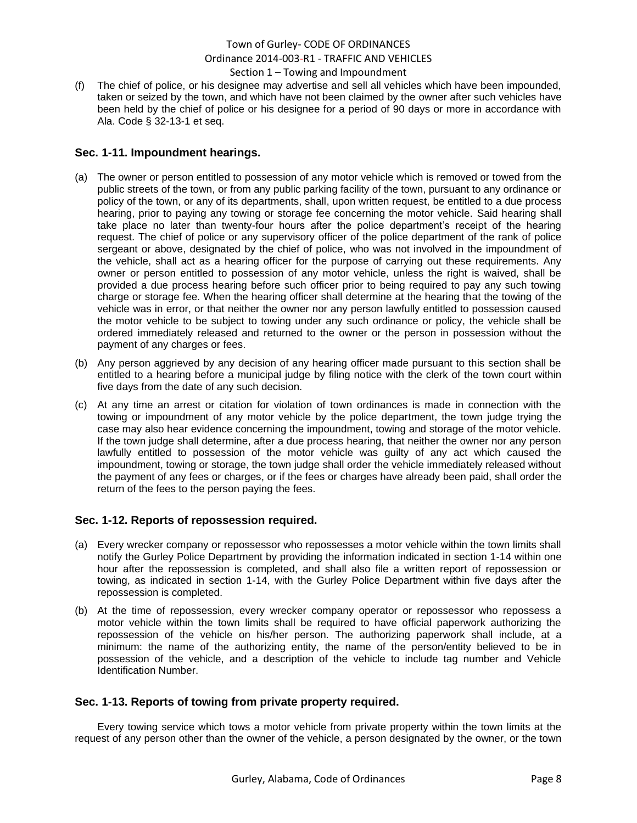## Town of Gurley- CODE OF ORDINANCES Ordinance 2014-003-R1 - TRAFFIC AND VEHICLES Section 1 – Towing and Impoundment

(f) The chief of police, or his designee may advertise and sell all vehicles which have been impounded, taken or seized by the town, and which have not been claimed by the owner after such vehicles have been held by the chief of police or his designee for a period of 90 days or more in accordance with Ala. Code § 32-13-1 et seq.

## <span id="page-7-0"></span>**Sec. 1-11. Impoundment hearings.**

- (a) The owner or person entitled to possession of any motor vehicle which is removed or towed from the public streets of the town, or from any public parking facility of the town, pursuant to any ordinance or policy of the town, or any of its departments, shall, upon written request, be entitled to a due process hearing, prior to paying any towing or storage fee concerning the motor vehicle. Said hearing shall take place no later than twenty-four hours after the police department's receipt of the hearing request. The chief of police or any supervisory officer of the police department of the rank of police sergeant or above, designated by the chief of police, who was not involved in the impoundment of the vehicle, shall act as a hearing officer for the purpose of carrying out these requirements. Any owner or person entitled to possession of any motor vehicle, unless the right is waived, shall be provided a due process hearing before such officer prior to being required to pay any such towing charge or storage fee. When the hearing officer shall determine at the hearing that the towing of the vehicle was in error, or that neither the owner nor any person lawfully entitled to possession caused the motor vehicle to be subject to towing under any such ordinance or policy, the vehicle shall be ordered immediately released and returned to the owner or the person in possession without the payment of any charges or fees.
- (b) Any person aggrieved by any decision of any hearing officer made pursuant to this section shall be entitled to a hearing before a municipal judge by filing notice with the clerk of the town court within five days from the date of any such decision.
- (c) At any time an arrest or citation for violation of town ordinances is made in connection with the towing or impoundment of any motor vehicle by the police department, the town judge trying the case may also hear evidence concerning the impoundment, towing and storage of the motor vehicle. If the town judge shall determine, after a due process hearing, that neither the owner nor any person lawfully entitled to possession of the motor vehicle was guilty of any act which caused the impoundment, towing or storage, the town judge shall order the vehicle immediately released without the payment of any fees or charges, or if the fees or charges have already been paid, shall order the return of the fees to the person paying the fees.

### <span id="page-7-1"></span>**Sec. 1-12. Reports of repossession required.**

- (a) Every wrecker company or repossessor who repossesses a motor vehicle within the town limits shall notify the Gurley Police Department by providing the information indicated in section 1-14 within one hour after the repossession is completed, and shall also file a written report of repossession or towing, as indicated in section 1-14, with the Gurley Police Department within five days after the repossession is completed.
- (b) At the time of repossession, every wrecker company operator or repossessor who repossess a motor vehicle within the town limits shall be required to have official paperwork authorizing the repossession of the vehicle on his/her person. The authorizing paperwork shall include, at a minimum: the name of the authorizing entity, the name of the person/entity believed to be in possession of the vehicle, and a description of the vehicle to include tag number and Vehicle Identification Number.

### <span id="page-7-2"></span>**Sec. 1-13. Reports of towing from private property required.**

Every towing service which tows a motor vehicle from private property within the town limits at the request of any person other than the owner of the vehicle, a person designated by the owner, or the town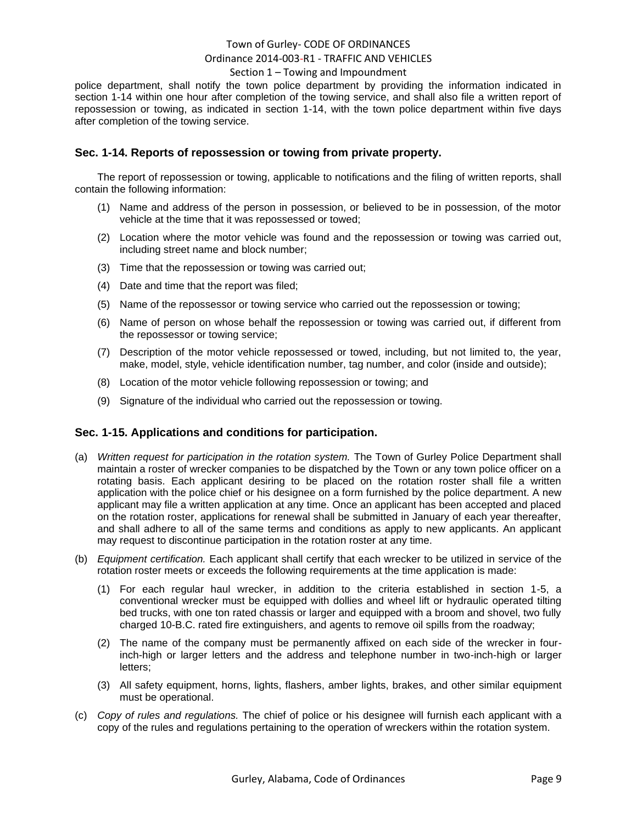#### Section 1 – Towing and Impoundment

police department, shall notify the town police department by providing the information indicated in section 1-14 within one hour after completion of the towing service, and shall also file a written report of repossession or towing, as indicated in section 1-14, with the town police department within five days after completion of the towing service.

#### <span id="page-8-0"></span>**Sec. 1-14. Reports of repossession or towing from private property.**

The report of repossession or towing, applicable to notifications and the filing of written reports, shall contain the following information:

- (1) Name and address of the person in possession, or believed to be in possession, of the motor vehicle at the time that it was repossessed or towed;
- (2) Location where the motor vehicle was found and the repossession or towing was carried out, including street name and block number;
- (3) Time that the repossession or towing was carried out;
- (4) Date and time that the report was filed;
- (5) Name of the repossessor or towing service who carried out the repossession or towing;
- (6) Name of person on whose behalf the repossession or towing was carried out, if different from the repossessor or towing service;
- (7) Description of the motor vehicle repossessed or towed, including, but not limited to, the year, make, model, style, vehicle identification number, tag number, and color (inside and outside);
- (8) Location of the motor vehicle following repossession or towing; and
- (9) Signature of the individual who carried out the repossession or towing.

### <span id="page-8-1"></span>**Sec. 1-15. Applications and conditions for participation.**

- (a) *Written request for participation in the rotation system.* The Town of Gurley Police Department shall maintain a roster of wrecker companies to be dispatched by the Town or any town police officer on a rotating basis. Each applicant desiring to be placed on the rotation roster shall file a written application with the police chief or his designee on a form furnished by the police department. A new applicant may file a written application at any time. Once an applicant has been accepted and placed on the rotation roster, applications for renewal shall be submitted in January of each year thereafter, and shall adhere to all of the same terms and conditions as apply to new applicants. An applicant may request to discontinue participation in the rotation roster at any time.
- (b) *Equipment certification.* Each applicant shall certify that each wrecker to be utilized in service of the rotation roster meets or exceeds the following requirements at the time application is made:
	- (1) For each regular haul wrecker, in addition to the criteria established in section 1-5, a conventional wrecker must be equipped with dollies and wheel lift or hydraulic operated tilting bed trucks, with one ton rated chassis or larger and equipped with a broom and shovel, two fully charged 10-B.C. rated fire extinguishers, and agents to remove oil spills from the roadway;
	- (2) The name of the company must be permanently affixed on each side of the wrecker in fourinch-high or larger letters and the address and telephone number in two-inch-high or larger letters;
	- (3) All safety equipment, horns, lights, flashers, amber lights, brakes, and other similar equipment must be operational.
- (c) *Copy of rules and regulations.* The chief of police or his designee will furnish each applicant with a copy of the rules and regulations pertaining to the operation of wreckers within the rotation system.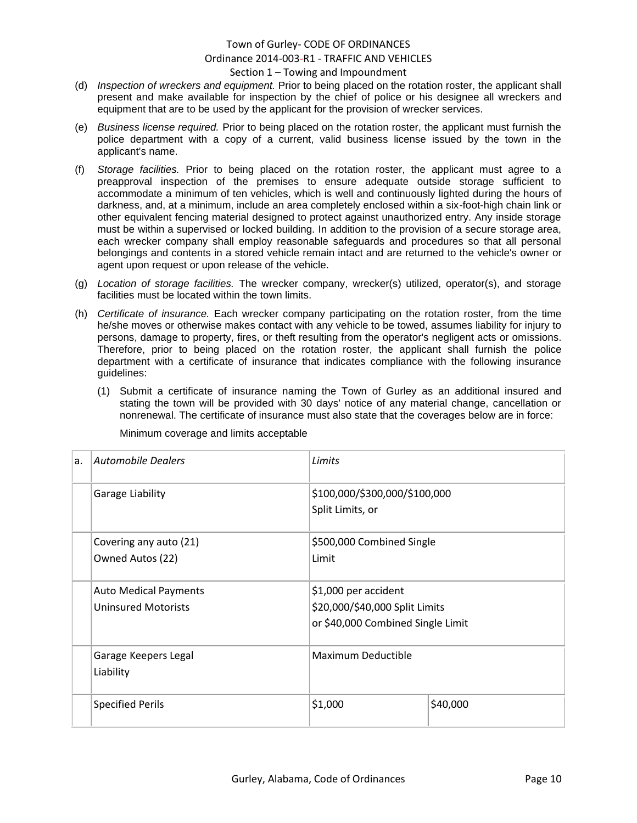#### Section 1 – Towing and Impoundment

- (d) *Inspection of wreckers and equipment.* Prior to being placed on the rotation roster, the applicant shall present and make available for inspection by the chief of police or his designee all wreckers and equipment that are to be used by the applicant for the provision of wrecker services.
- (e) *Business license required.* Prior to being placed on the rotation roster, the applicant must furnish the police department with a copy of a current, valid business license issued by the town in the applicant's name.
- (f) *Storage facilities.* Prior to being placed on the rotation roster, the applicant must agree to a preapproval inspection of the premises to ensure adequate outside storage sufficient to accommodate a minimum of ten vehicles, which is well and continuously lighted during the hours of darkness, and, at a minimum, include an area completely enclosed within a six-foot-high chain link or other equivalent fencing material designed to protect against unauthorized entry. Any inside storage must be within a supervised or locked building. In addition to the provision of a secure storage area, each wrecker company shall employ reasonable safeguards and procedures so that all personal belongings and contents in a stored vehicle remain intact and are returned to the vehicle's owner or agent upon request or upon release of the vehicle.
- (g) *Location of storage facilities.* The wrecker company, wrecker(s) utilized, operator(s), and storage facilities must be located within the town limits.
- (h) *Certificate of insurance.* Each wrecker company participating on the rotation roster, from the time he/she moves or otherwise makes contact with any vehicle to be towed, assumes liability for injury to persons, damage to property, fires, or theft resulting from the operator's negligent acts or omissions. Therefore, prior to being placed on the rotation roster, the applicant shall furnish the police department with a certificate of insurance that indicates compliance with the following insurance guidelines:
	- (1) Submit a certificate of insurance naming the Town of Gurley as an additional insured and stating the town will be provided with 30 days' notice of any material change, cancellation or nonrenewal. The certificate of insurance must also state that the coverages below are in force:

| a. | <b>Automobile Dealers</b>                                  | Limits                                                                                      |          |
|----|------------------------------------------------------------|---------------------------------------------------------------------------------------------|----------|
|    | Garage Liability                                           | \$100,000/\$300,000/\$100,000<br>Split Limits, or                                           |          |
|    | Covering any auto (21)<br>Owned Autos (22)                 | \$500,000 Combined Single<br>Limit                                                          |          |
|    | <b>Auto Medical Payments</b><br><b>Uninsured Motorists</b> | \$1,000 per accident<br>\$20,000/\$40,000 Split Limits<br>or \$40,000 Combined Single Limit |          |
|    | Garage Keepers Legal<br>Liability                          | Maximum Deductible                                                                          |          |
|    | <b>Specified Perils</b>                                    | \$1,000                                                                                     | \$40,000 |

Minimum coverage and limits acceptable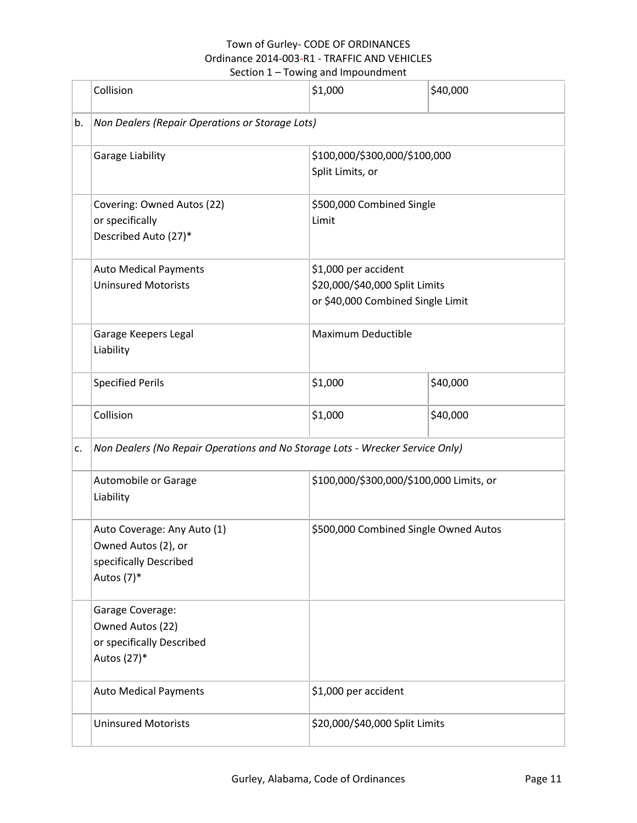## Town of Gurley- CODE OF ORDINANCES Ordinance 2014-003-R1 - TRAFFIC AND VEHICLES Section 1 – Towing and Impoundment

|    | Collision                                                                                  | \$1,000              | \$40,000                                                                          |  |  |
|----|--------------------------------------------------------------------------------------------|----------------------|-----------------------------------------------------------------------------------|--|--|
| b. | Non Dealers (Repair Operations or Storage Lots)                                            |                      |                                                                                   |  |  |
|    | Garage Liability                                                                           | Split Limits, or     | \$100,000/\$300,000/\$100,000                                                     |  |  |
|    | Covering: Owned Autos (22)<br>or specifically<br>Described Auto (27)*                      | Limit                | \$500,000 Combined Single                                                         |  |  |
|    | <b>Auto Medical Payments</b><br><b>Uninsured Motorists</b>                                 | \$1,000 per accident | \$20,000/\$40,000 Split Limits<br>or \$40,000 Combined Single Limit               |  |  |
|    | Garage Keepers Legal<br>Liability                                                          | Maximum Deductible   |                                                                                   |  |  |
|    | <b>Specified Perils</b>                                                                    | \$1,000              | \$40,000                                                                          |  |  |
|    | Collision                                                                                  | \$1,000              | \$40,000                                                                          |  |  |
| c. | Non Dealers (No Repair Operations and No Storage Lots - Wrecker Service Only)              |                      |                                                                                   |  |  |
|    | Automobile or Garage<br>Liability                                                          |                      | \$100,000/\$300,000/\$100,000 Limits, or<br>\$500,000 Combined Single Owned Autos |  |  |
|    | Auto Coverage: Any Auto (1)<br>Owned Autos (2), or<br>specifically Described<br>Autos (7)* |                      |                                                                                   |  |  |
|    | Garage Coverage:<br>Owned Autos (22)<br>or specifically Described<br>Autos (27)*           |                      |                                                                                   |  |  |
|    | <b>Auto Medical Payments</b>                                                               | \$1,000 per accident |                                                                                   |  |  |
|    | <b>Uninsured Motorists</b>                                                                 |                      | \$20,000/\$40,000 Split Limits                                                    |  |  |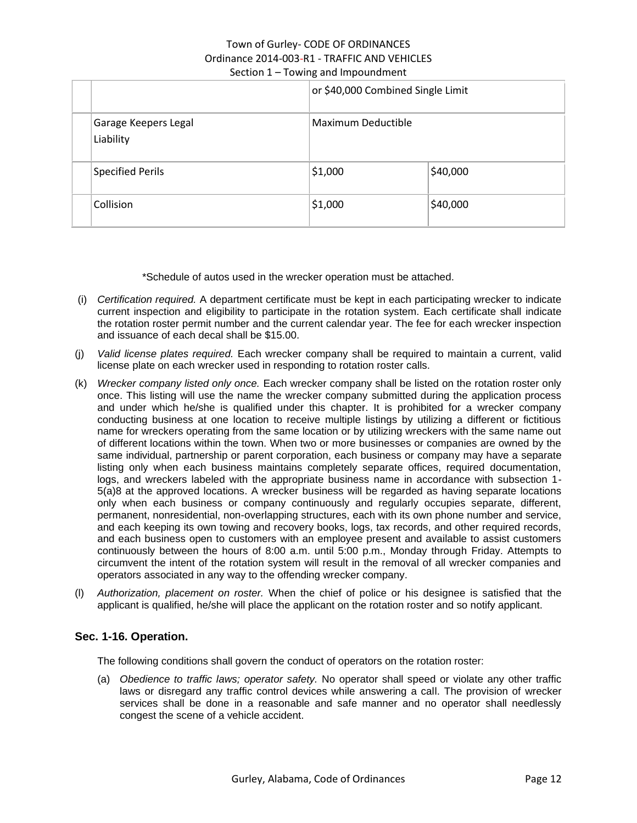## Town of Gurley- CODE OF ORDINANCES Ordinance 2014-003-R1 - TRAFFIC AND VEHICLES Section 1 – Towing and Impoundment

|                                   | or \$40,000 Combined Single Limit |          |
|-----------------------------------|-----------------------------------|----------|
| Garage Keepers Legal<br>Liability | Maximum Deductible                |          |
| Specified Perils                  | \$1,000                           | \$40,000 |
| Collision                         | \$1,000                           | \$40,000 |

\*Schedule of autos used in the wrecker operation must be attached.

- (i) *Certification required.* A department certificate must be kept in each participating wrecker to indicate current inspection and eligibility to participate in the rotation system. Each certificate shall indicate the rotation roster permit number and the current calendar year. The fee for each wrecker inspection and issuance of each decal shall be \$15.00.
- (j) *Valid license plates required.* Each wrecker company shall be required to maintain a current, valid license plate on each wrecker used in responding to rotation roster calls.
- (k) *Wrecker company listed only once.* Each wrecker company shall be listed on the rotation roster only once. This listing will use the name the wrecker company submitted during the application process and under which he/she is qualified under this chapter. It is prohibited for a wrecker company conducting business at one location to receive multiple listings by utilizing a different or fictitious name for wreckers operating from the same location or by utilizing wreckers with the same name out of different locations within the town. When two or more businesses or companies are owned by the same individual, partnership or parent corporation, each business or company may have a separate listing only when each business maintains completely separate offices, required documentation, logs, and wreckers labeled with the appropriate business name in accordance with subsection 1- 5(a)8 at the approved locations. A wrecker business will be regarded as having separate locations only when each business or company continuously and regularly occupies separate, different, permanent, nonresidential, non-overlapping structures, each with its own phone number and service, and each keeping its own towing and recovery books, logs, tax records, and other required records, and each business open to customers with an employee present and available to assist customers continuously between the hours of 8:00 a.m. until 5:00 p.m., Monday through Friday. Attempts to circumvent the intent of the rotation system will result in the removal of all wrecker companies and operators associated in any way to the offending wrecker company.
- (l) *Authorization, placement on roster.* When the chief of police or his designee is satisfied that the applicant is qualified, he/she will place the applicant on the rotation roster and so notify applicant.

## <span id="page-11-0"></span>**Sec. 1-16. Operation.**

The following conditions shall govern the conduct of operators on the rotation roster:

(a) *Obedience to traffic laws; operator safety.* No operator shall speed or violate any other traffic laws or disregard any traffic control devices while answering a call. The provision of wrecker services shall be done in a reasonable and safe manner and no operator shall needlessly congest the scene of a vehicle accident.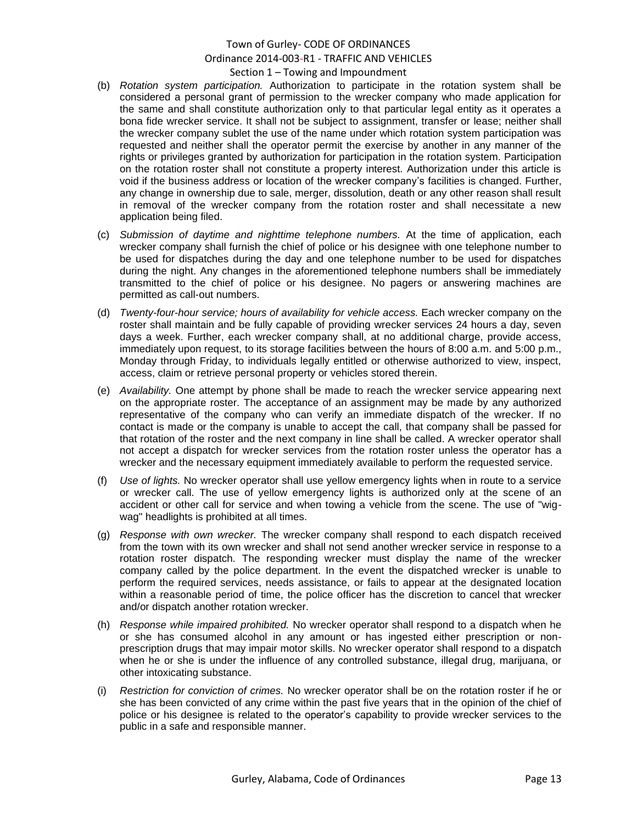#### Section 1 – Towing and Impoundment

- (b) *Rotation system participation.* Authorization to participate in the rotation system shall be considered a personal grant of permission to the wrecker company who made application for the same and shall constitute authorization only to that particular legal entity as it operates a bona fide wrecker service. It shall not be subject to assignment, transfer or lease; neither shall the wrecker company sublet the use of the name under which rotation system participation was requested and neither shall the operator permit the exercise by another in any manner of the rights or privileges granted by authorization for participation in the rotation system. Participation on the rotation roster shall not constitute a property interest. Authorization under this article is void if the business address or location of the wrecker company's facilities is changed. Further, any change in ownership due to sale, merger, dissolution, death or any other reason shall result in removal of the wrecker company from the rotation roster and shall necessitate a new application being filed.
- (c) *Submission of daytime and nighttime telephone numbers.* At the time of application, each wrecker company shall furnish the chief of police or his designee with one telephone number to be used for dispatches during the day and one telephone number to be used for dispatches during the night. Any changes in the aforementioned telephone numbers shall be immediately transmitted to the chief of police or his designee. No pagers or answering machines are permitted as call-out numbers.
- (d) *Twenty-four-hour service; hours of availability for vehicle access.* Each wrecker company on the roster shall maintain and be fully capable of providing wrecker services 24 hours a day, seven days a week. Further, each wrecker company shall, at no additional charge, provide access, immediately upon request, to its storage facilities between the hours of 8:00 a.m. and 5:00 p.m., Monday through Friday, to individuals legally entitled or otherwise authorized to view, inspect, access, claim or retrieve personal property or vehicles stored therein.
- (e) *Availability.* One attempt by phone shall be made to reach the wrecker service appearing next on the appropriate roster. The acceptance of an assignment may be made by any authorized representative of the company who can verify an immediate dispatch of the wrecker. If no contact is made or the company is unable to accept the call, that company shall be passed for that rotation of the roster and the next company in line shall be called. A wrecker operator shall not accept a dispatch for wrecker services from the rotation roster unless the operator has a wrecker and the necessary equipment immediately available to perform the requested service.
- (f) *Use of lights.* No wrecker operator shall use yellow emergency lights when in route to a service or wrecker call. The use of yellow emergency lights is authorized only at the scene of an accident or other call for service and when towing a vehicle from the scene. The use of "wigwag" headlights is prohibited at all times.
- (g) *Response with own wrecker.* The wrecker company shall respond to each dispatch received from the town with its own wrecker and shall not send another wrecker service in response to a rotation roster dispatch. The responding wrecker must display the name of the wrecker company called by the police department. In the event the dispatched wrecker is unable to perform the required services, needs assistance, or fails to appear at the designated location within a reasonable period of time, the police officer has the discretion to cancel that wrecker and/or dispatch another rotation wrecker.
- (h) *Response while impaired prohibited.* No wrecker operator shall respond to a dispatch when he or she has consumed alcohol in any amount or has ingested either prescription or nonprescription drugs that may impair motor skills. No wrecker operator shall respond to a dispatch when he or she is under the influence of any controlled substance, illegal drug, marijuana, or other intoxicating substance.
- (i) *Restriction for conviction of crimes.* No wrecker operator shall be on the rotation roster if he or she has been convicted of any crime within the past five years that in the opinion of the chief of police or his designee is related to the operator's capability to provide wrecker services to the public in a safe and responsible manner.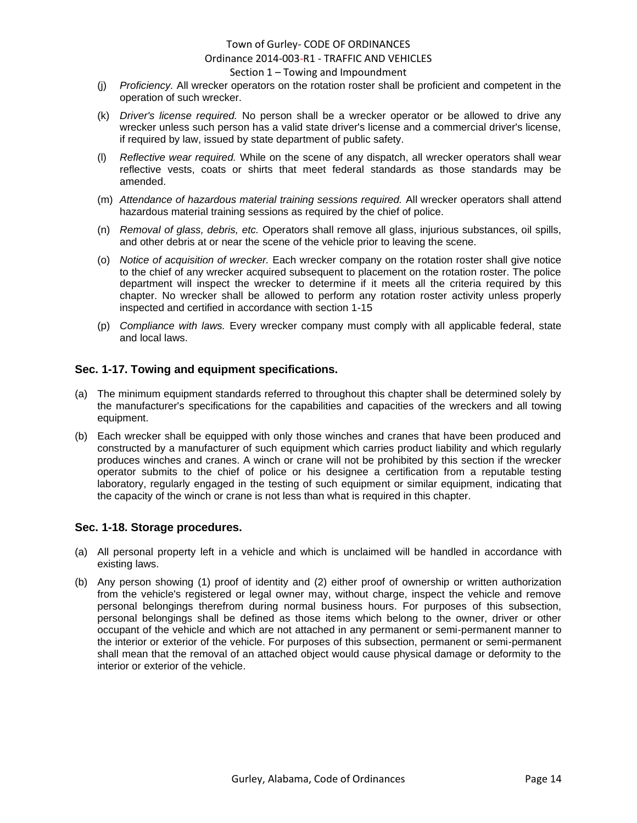#### Section 1 – Towing and Impoundment

- (j) *Proficiency.* All wrecker operators on the rotation roster shall be proficient and competent in the operation of such wrecker.
- (k) *Driver's license required.* No person shall be a wrecker operator or be allowed to drive any wrecker unless such person has a valid state driver's license and a commercial driver's license, if required by law, issued by state department of public safety.
- (l) *Reflective wear required.* While on the scene of any dispatch, all wrecker operators shall wear reflective vests, coats or shirts that meet federal standards as those standards may be amended.
- (m) *Attendance of hazardous material training sessions required.* All wrecker operators shall attend hazardous material training sessions as required by the chief of police.
- (n) *Removal of glass, debris, etc.* Operators shall remove all glass, injurious substances, oil spills, and other debris at or near the scene of the vehicle prior to leaving the scene.
- (o) *Notice of acquisition of wrecker.* Each wrecker company on the rotation roster shall give notice to the chief of any wrecker acquired subsequent to placement on the rotation roster. The police department will inspect the wrecker to determine if it meets all the criteria required by this chapter. No wrecker shall be allowed to perform any rotation roster activity unless properly inspected and certified in accordance with section 1-15
- (p) *Compliance with laws.* Every wrecker company must comply with all applicable federal, state and local laws.

### <span id="page-13-0"></span>**Sec. 1-17. Towing and equipment specifications.**

- (a) The minimum equipment standards referred to throughout this chapter shall be determined solely by the manufacturer's specifications for the capabilities and capacities of the wreckers and all towing equipment.
- (b) Each wrecker shall be equipped with only those winches and cranes that have been produced and constructed by a manufacturer of such equipment which carries product liability and which regularly produces winches and cranes. A winch or crane will not be prohibited by this section if the wrecker operator submits to the chief of police or his designee a certification from a reputable testing laboratory, regularly engaged in the testing of such equipment or similar equipment, indicating that the capacity of the winch or crane is not less than what is required in this chapter.

#### <span id="page-13-1"></span>**Sec. 1-18. Storage procedures.**

- (a) All personal property left in a vehicle and which is unclaimed will be handled in accordance with existing laws.
- (b) Any person showing (1) proof of identity and (2) either proof of ownership or written authorization from the vehicle's registered or legal owner may, without charge, inspect the vehicle and remove personal belongings therefrom during normal business hours. For purposes of this subsection, personal belongings shall be defined as those items which belong to the owner, driver or other occupant of the vehicle and which are not attached in any permanent or semi-permanent manner to the interior or exterior of the vehicle. For purposes of this subsection, permanent or semi-permanent shall mean that the removal of an attached object would cause physical damage or deformity to the interior or exterior of the vehicle.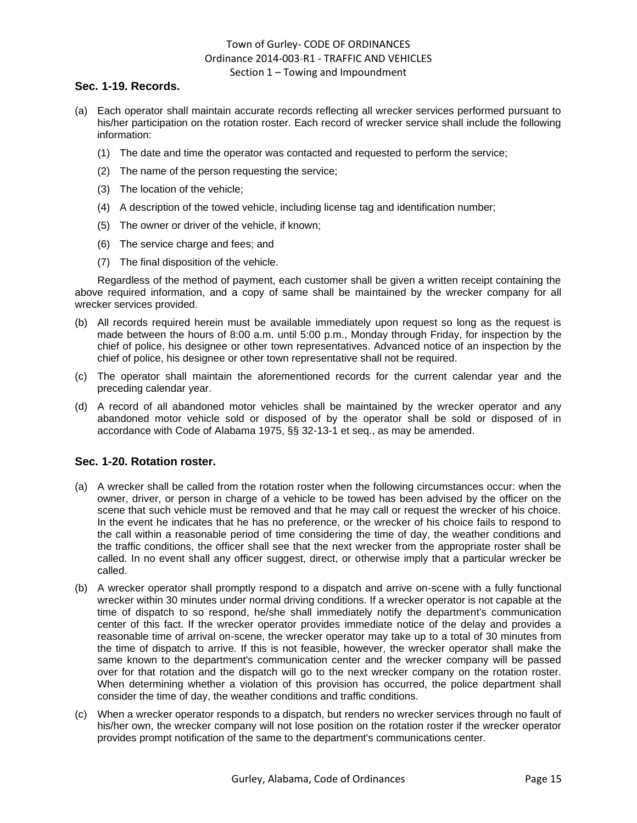## Town of Gurley- CODE OF ORDINANCES Ordinance 2014-003-R1 - TRAFFIC AND VEHICLES Section 1 – Towing and Impoundment

## <span id="page-14-0"></span>**Sec. 1-19. Records.**

- (a) Each operator shall maintain accurate records reflecting all wrecker services performed pursuant to his/her participation on the rotation roster. Each record of wrecker service shall include the following information:
	- (1) The date and time the operator was contacted and requested to perform the service;
	- (2) The name of the person requesting the service;
	- (3) The location of the vehicle;
	- (4) A description of the towed vehicle, including license tag and identification number;
	- (5) The owner or driver of the vehicle, if known;
	- (6) The service charge and fees; and
	- (7) The final disposition of the vehicle.

Regardless of the method of payment, each customer shall be given a written receipt containing the above required information, and a copy of same shall be maintained by the wrecker company for all wrecker services provided.

- (b) All records required herein must be available immediately upon request so long as the request is made between the hours of 8:00 a.m. until 5:00 p.m., Monday through Friday, for inspection by the chief of police, his designee or other town representatives. Advanced notice of an inspection by the chief of police, his designee or other town representative shall not be required.
- (c) The operator shall maintain the aforementioned records for the current calendar year and the preceding calendar year.
- (d) A record of all abandoned motor vehicles shall be maintained by the wrecker operator and any abandoned motor vehicle sold or disposed of by the operator shall be sold or disposed of in accordance with Code of Alabama 1975, §§ 32-13-1 et seq., as may be amended.

### <span id="page-14-1"></span>**Sec. 1-20. Rotation roster.**

- (a) A wrecker shall be called from the rotation roster when the following circumstances occur: when the owner, driver, or person in charge of a vehicle to be towed has been advised by the officer on the scene that such vehicle must be removed and that he may call or request the wrecker of his choice. In the event he indicates that he has no preference, or the wrecker of his choice fails to respond to the call within a reasonable period of time considering the time of day, the weather conditions and the traffic conditions, the officer shall see that the next wrecker from the appropriate roster shall be called. In no event shall any officer suggest, direct, or otherwise imply that a particular wrecker be called.
- (b) A wrecker operator shall promptly respond to a dispatch and arrive on-scene with a fully functional wrecker within 30 minutes under normal driving conditions. If a wrecker operator is not capable at the time of dispatch to so respond, he/she shall immediately notify the department's communication center of this fact. If the wrecker operator provides immediate notice of the delay and provides a reasonable time of arrival on-scene, the wrecker operator may take up to a total of 30 minutes from the time of dispatch to arrive. If this is not feasible, however, the wrecker operator shall make the same known to the department's communication center and the wrecker company will be passed over for that rotation and the dispatch will go to the next wrecker company on the rotation roster. When determining whether a violation of this provision has occurred, the police department shall consider the time of day, the weather conditions and traffic conditions.
- (c) When a wrecker operator responds to a dispatch, but renders no wrecker services through no fault of his/her own, the wrecker company will not lose position on the rotation roster if the wrecker operator provides prompt notification of the same to the department's communications center.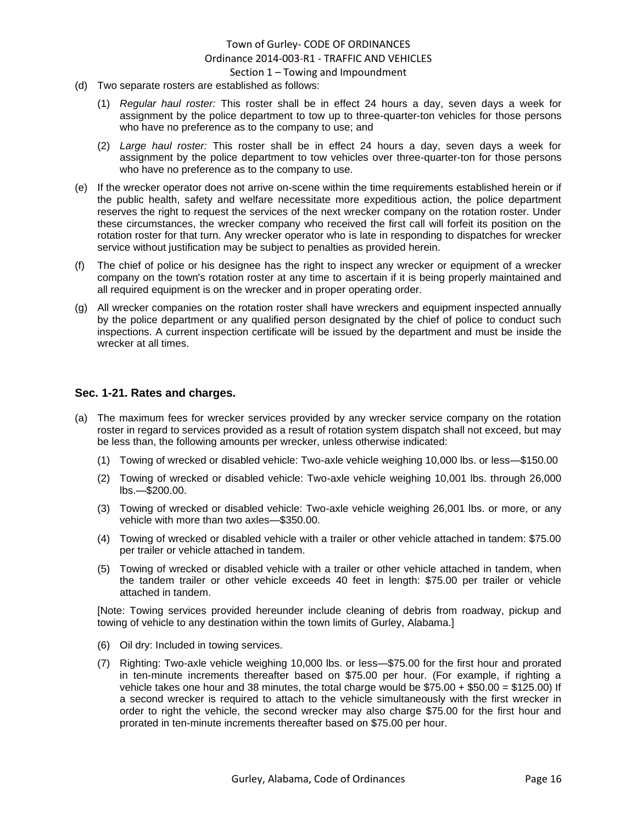## Town of Gurley- CODE OF ORDINANCES Ordinance 2014-003-R1 - TRAFFIC AND VEHICLES Section 1 – Towing and Impoundment

- (d) Two separate rosters are established as follows:
	- (1) *Regular haul roster:* This roster shall be in effect 24 hours a day, seven days a week for assignment by the police department to tow up to three-quarter-ton vehicles for those persons who have no preference as to the company to use; and
	- (2) *Large haul roster:* This roster shall be in effect 24 hours a day, seven days a week for assignment by the police department to tow vehicles over three-quarter-ton for those persons who have no preference as to the company to use.
- (e) If the wrecker operator does not arrive on-scene within the time requirements established herein or if the public health, safety and welfare necessitate more expeditious action, the police department reserves the right to request the services of the next wrecker company on the rotation roster. Under these circumstances, the wrecker company who received the first call will forfeit its position on the rotation roster for that turn. Any wrecker operator who is late in responding to dispatches for wrecker service without justification may be subject to penalties as provided herein.
- (f) The chief of police or his designee has the right to inspect any wrecker or equipment of a wrecker company on the town's rotation roster at any time to ascertain if it is being properly maintained and all required equipment is on the wrecker and in proper operating order.
- (g) All wrecker companies on the rotation roster shall have wreckers and equipment inspected annually by the police department or any qualified person designated by the chief of police to conduct such inspections. A current inspection certificate will be issued by the department and must be inside the wrecker at all times.

#### <span id="page-15-0"></span>**Sec. 1-21. Rates and charges.**

- (a) The maximum fees for wrecker services provided by any wrecker service company on the rotation roster in regard to services provided as a result of rotation system dispatch shall not exceed, but may be less than, the following amounts per wrecker, unless otherwise indicated:
	- (1) Towing of wrecked or disabled vehicle: Two-axle vehicle weighing 10,000 lbs. or less—\$150.00
	- (2) Towing of wrecked or disabled vehicle: Two-axle vehicle weighing 10,001 lbs. through 26,000 lbs.—\$200.00.
	- (3) Towing of wrecked or disabled vehicle: Two-axle vehicle weighing 26,001 lbs. or more, or any vehicle with more than two axles—\$350.00.
	- (4) Towing of wrecked or disabled vehicle with a trailer or other vehicle attached in tandem: \$75.00 per trailer or vehicle attached in tandem.
	- (5) Towing of wrecked or disabled vehicle with a trailer or other vehicle attached in tandem, when the tandem trailer or other vehicle exceeds 40 feet in length: \$75.00 per trailer or vehicle attached in tandem.

[Note: Towing services provided hereunder include cleaning of debris from roadway, pickup and towing of vehicle to any destination within the town limits of Gurley, Alabama.]

- (6) Oil dry: Included in towing services.
- (7) Righting: Two-axle vehicle weighing 10,000 lbs. or less—\$75.00 for the first hour and prorated in ten-minute increments thereafter based on \$75.00 per hour. (For example, if righting a vehicle takes one hour and 38 minutes, the total charge would be  $$75.00 + $50.00 = $125.00$  If a second wrecker is required to attach to the vehicle simultaneously with the first wrecker in order to right the vehicle, the second wrecker may also charge \$75.00 for the first hour and prorated in ten-minute increments thereafter based on \$75.00 per hour.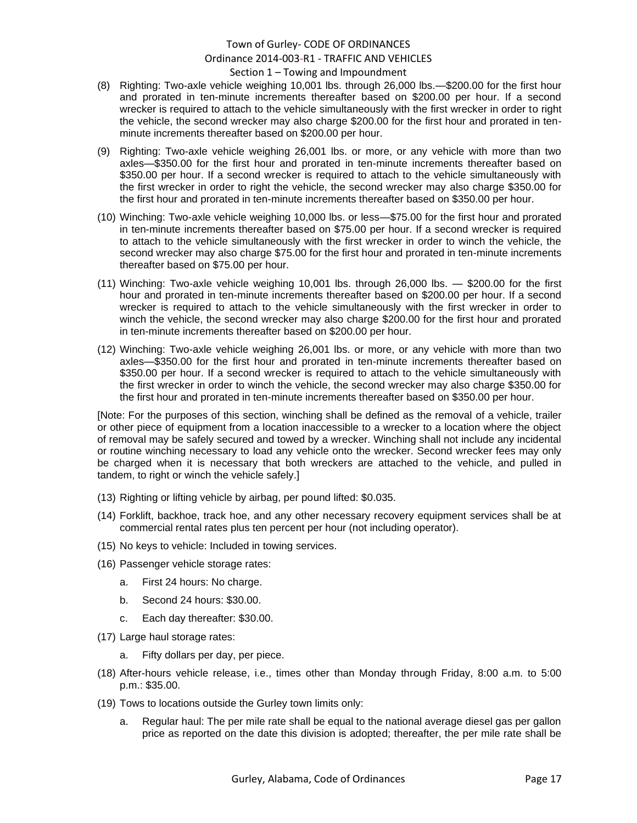#### Section 1 – Towing and Impoundment

- (8) Righting: Two-axle vehicle weighing 10,001 lbs. through 26,000 lbs.—\$200.00 for the first hour and prorated in ten-minute increments thereafter based on \$200.00 per hour. If a second wrecker is required to attach to the vehicle simultaneously with the first wrecker in order to right the vehicle, the second wrecker may also charge \$200.00 for the first hour and prorated in tenminute increments thereafter based on \$200.00 per hour.
- (9) Righting: Two-axle vehicle weighing 26,001 lbs. or more, or any vehicle with more than two axles—\$350.00 for the first hour and prorated in ten-minute increments thereafter based on \$350.00 per hour. If a second wrecker is required to attach to the vehicle simultaneously with the first wrecker in order to right the vehicle, the second wrecker may also charge \$350.00 for the first hour and prorated in ten-minute increments thereafter based on \$350.00 per hour.
- (10) Winching: Two-axle vehicle weighing 10,000 lbs. or less—\$75.00 for the first hour and prorated in ten-minute increments thereafter based on \$75.00 per hour. If a second wrecker is required to attach to the vehicle simultaneously with the first wrecker in order to winch the vehicle, the second wrecker may also charge \$75.00 for the first hour and prorated in ten-minute increments thereafter based on \$75.00 per hour.
- (11) Winching: Two-axle vehicle weighing 10,001 lbs. through 26,000 lbs. \$200.00 for the first hour and prorated in ten-minute increments thereafter based on \$200.00 per hour. If a second wrecker is required to attach to the vehicle simultaneously with the first wrecker in order to winch the vehicle, the second wrecker may also charge \$200.00 for the first hour and prorated in ten-minute increments thereafter based on \$200.00 per hour.
- (12) Winching: Two-axle vehicle weighing 26,001 lbs. or more, or any vehicle with more than two axles—\$350.00 for the first hour and prorated in ten-minute increments thereafter based on \$350.00 per hour. If a second wrecker is required to attach to the vehicle simultaneously with the first wrecker in order to winch the vehicle, the second wrecker may also charge \$350.00 for the first hour and prorated in ten-minute increments thereafter based on \$350.00 per hour.

[Note: For the purposes of this section, winching shall be defined as the removal of a vehicle, trailer or other piece of equipment from a location inaccessible to a wrecker to a location where the object of removal may be safely secured and towed by a wrecker. Winching shall not include any incidental or routine winching necessary to load any vehicle onto the wrecker. Second wrecker fees may only be charged when it is necessary that both wreckers are attached to the vehicle, and pulled in tandem, to right or winch the vehicle safely.]

- (13) Righting or lifting vehicle by airbag, per pound lifted: \$0.035.
- (14) Forklift, backhoe, track hoe, and any other necessary recovery equipment services shall be at commercial rental rates plus ten percent per hour (not including operator).
- (15) No keys to vehicle: Included in towing services.
- (16) Passenger vehicle storage rates:
	- a. First 24 hours: No charge.
	- b. Second 24 hours: \$30.00.
	- c. Each day thereafter: \$30.00.
- (17) Large haul storage rates:
	- a. Fifty dollars per day, per piece.
- (18) After-hours vehicle release, i.e., times other than Monday through Friday, 8:00 a.m. to 5:00 p.m.: \$35.00.
- (19) Tows to locations outside the Gurley town limits only:
	- a. Regular haul: The per mile rate shall be equal to the national average diesel gas per gallon price as reported on the date this division is adopted; thereafter, the per mile rate shall be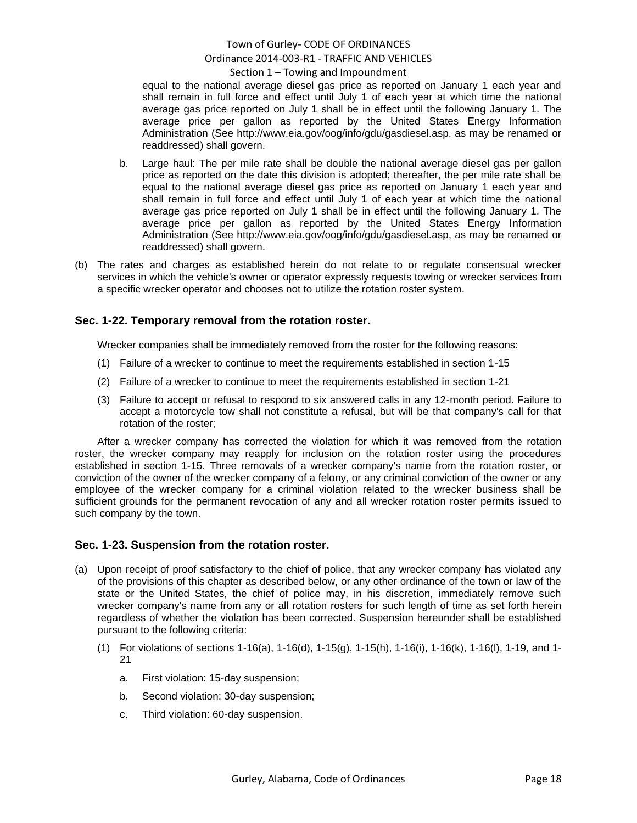#### Section 1 – Towing and Impoundment

equal to the national average diesel gas price as reported on January 1 each year and shall remain in full force and effect until July 1 of each year at which time the national average gas price reported on July 1 shall be in effect until the following January 1. The average price per gallon as reported by the United States Energy Information Administration (See http://www.eia.gov/oog/info/gdu/gasdiesel.asp, as may be renamed or readdressed) shall govern.

- b. Large haul: The per mile rate shall be double the national average diesel gas per gallon price as reported on the date this division is adopted; thereafter, the per mile rate shall be equal to the national average diesel gas price as reported on January 1 each year and shall remain in full force and effect until July 1 of each year at which time the national average gas price reported on July 1 shall be in effect until the following January 1. The average price per gallon as reported by the United States Energy Information Administration (See http://www.eia.gov/oog/info/gdu/gasdiesel.asp, as may be renamed or readdressed) shall govern.
- (b) The rates and charges as established herein do not relate to or regulate consensual wrecker services in which the vehicle's owner or operator expressly requests towing or wrecker services from a specific wrecker operator and chooses not to utilize the rotation roster system.

#### <span id="page-17-0"></span>**Sec. 1-22. Temporary removal from the rotation roster.**

Wrecker companies shall be immediately removed from the roster for the following reasons:

- (1) Failure of a wrecker to continue to meet the requirements established in section 1-15
- (2) Failure of a wrecker to continue to meet the requirements established in section 1-21
- (3) Failure to accept or refusal to respond to six answered calls in any 12-month period. Failure to accept a motorcycle tow shall not constitute a refusal, but will be that company's call for that rotation of the roster;

After a wrecker company has corrected the violation for which it was removed from the rotation roster, the wrecker company may reapply for inclusion on the rotation roster using the procedures established in section 1-15. Three removals of a wrecker company's name from the rotation roster, or conviction of the owner of the wrecker company of a felony, or any criminal conviction of the owner or any employee of the wrecker company for a criminal violation related to the wrecker business shall be sufficient grounds for the permanent revocation of any and all wrecker rotation roster permits issued to such company by the town.

#### <span id="page-17-1"></span>**Sec. 1-23. Suspension from the rotation roster.**

- (a) Upon receipt of proof satisfactory to the chief of police, that any wrecker company has violated any of the provisions of this chapter as described below, or any other ordinance of the town or law of the state or the United States, the chief of police may, in his discretion, immediately remove such wrecker company's name from any or all rotation rosters for such length of time as set forth herein regardless of whether the violation has been corrected. Suspension hereunder shall be established pursuant to the following criteria:
	- (1) For violations of sections 1-16(a), 1-16(d), 1-15(g), 1-15(h), 1-16(i), 1-16(k), 1-16(l), 1-19, and 1- 21
		- a. First violation: 15-day suspension;
		- b. Second violation: 30-day suspension;
		- c. Third violation: 60-day suspension.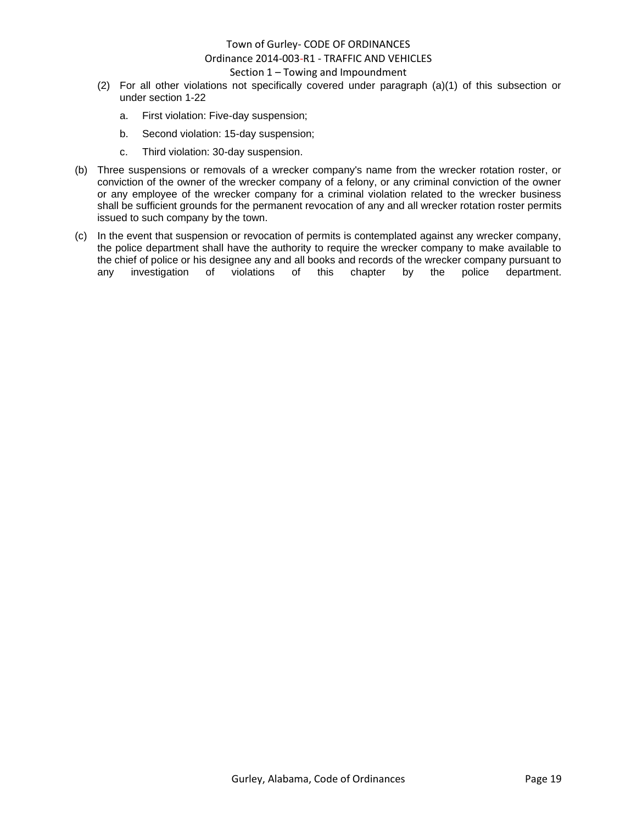#### Town of Gurley- CODE OF ORDINANCES

#### Ordinance 2014-003-R1 - TRAFFIC AND VEHICLES

#### Section 1 – Towing and Impoundment

- (2) For all other violations not specifically covered under paragraph (a)(1) of this subsection or under section 1-22
	- a. First violation: Five-day suspension;
	- b. Second violation: 15-day suspension;
	- c. Third violation: 30-day suspension.
- (b) Three suspensions or removals of a wrecker company's name from the wrecker rotation roster, or conviction of the owner of the wrecker company of a felony, or any criminal conviction of the owner or any employee of the wrecker company for a criminal violation related to the wrecker business shall be sufficient grounds for the permanent revocation of any and all wrecker rotation roster permits issued to such company by the town.
- (c) In the event that suspension or revocation of permits is contemplated against any wrecker company, the police department shall have the authority to require the wrecker company to make available to the chief of police or his designee any and all books and records of the wrecker company pursuant to any investigation of violations of this chapter by the police department.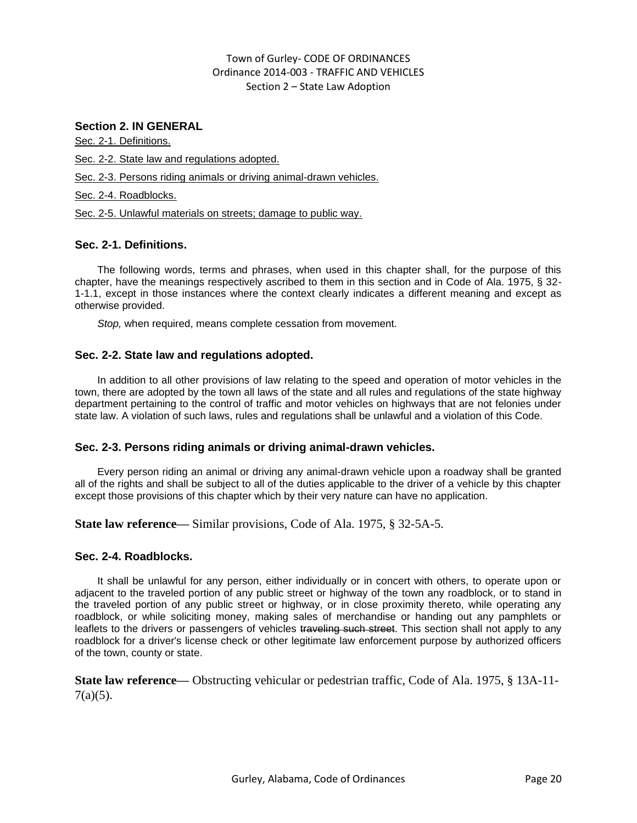## Town of Gurley- CODE OF ORDINANCES Ordinance 2014-003 - TRAFFIC AND VEHICLES Section 2 – State Law Adoption

## **Section 2. IN GENERAL**

Sec. 2-1. Definitions.

- Sec. 2-2. State law and regulations adopted.
- Sec. 2-3. Persons riding animals or driving animal-drawn vehicles.

Sec. 2-4. Roadblocks.

Sec. 2-5. Unlawful materials on streets; damage to public way.

## **Sec. 2-1. Definitions.**

The following words, terms and phrases, when used in this chapter shall, for the purpose of this chapter, have the meanings respectively ascribed to them in this section and in Code of Ala. 1975, § 32- 1-1.1, except in those instances where the context clearly indicates a different meaning and except as otherwise provided.

*Stop,* when required, means complete cessation from movement.

## **Sec. 2-2. State law and regulations adopted.**

In addition to all other provisions of law relating to the speed and operation of motor vehicles in the town, there are adopted by the town all laws of the state and all rules and regulations of the state highway department pertaining to the control of traffic and motor vehicles on highways that are not felonies under state law. A violation of such laws, rules and regulations shall be unlawful and a violation of this Code.

### **Sec. 2-3. Persons riding animals or driving animal-drawn vehicles.**

Every person riding an animal or driving any animal-drawn vehicle upon a roadway shall be granted all of the rights and shall be subject to all of the duties applicable to the driver of a vehicle by this chapter except those provisions of this chapter which by their very nature can have no application.

**State law reference—** Similar provisions, Code of Ala. 1975, § 32-5A-5.

### **Sec. 2-4. Roadblocks.**

It shall be unlawful for any person, either individually or in concert with others, to operate upon or adjacent to the traveled portion of any public street or highway of the town any roadblock, or to stand in the traveled portion of any public street or highway, or in close proximity thereto, while operating any roadblock, or while soliciting money, making sales of merchandise or handing out any pamphlets or leaflets to the drivers or passengers of vehicles traveling such street. This section shall not apply to any roadblock for a driver's license check or other legitimate law enforcement purpose by authorized officers of the town, county or state.

**State law reference—** Obstructing vehicular or pedestrian traffic, Code of Ala. 1975, § 13A-11-  $7(a)(5)$ .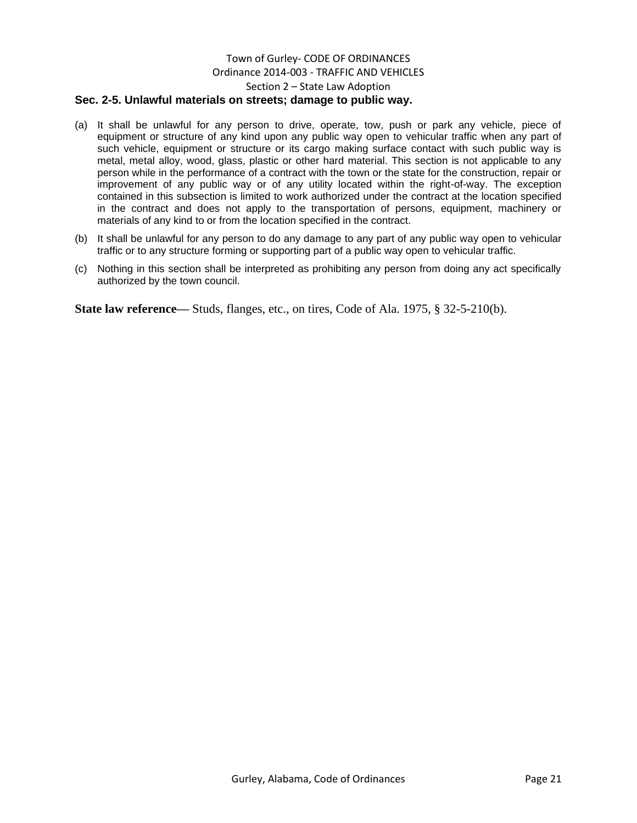## Town of Gurley- CODE OF ORDINANCES Ordinance 2014-003 - TRAFFIC AND VEHICLES Section 2 – State Law Adoption **Sec. 2-5. Unlawful materials on streets; damage to public way.**

- (a) It shall be unlawful for any person to drive, operate, tow, push or park any vehicle, piece of equipment or structure of any kind upon any public way open to vehicular traffic when any part of such vehicle, equipment or structure or its cargo making surface contact with such public way is metal, metal alloy, wood, glass, plastic or other hard material. This section is not applicable to any person while in the performance of a contract with the town or the state for the construction, repair or improvement of any public way or of any utility located within the right-of-way. The exception contained in this subsection is limited to work authorized under the contract at the location specified in the contract and does not apply to the transportation of persons, equipment, machinery or materials of any kind to or from the location specified in the contract.
- (b) It shall be unlawful for any person to do any damage to any part of any public way open to vehicular traffic or to any structure forming or supporting part of a public way open to vehicular traffic.
- (c) Nothing in this section shall be interpreted as prohibiting any person from doing any act specifically authorized by the town council.

**State law reference—** Studs, flanges, etc., on tires, Code of Ala. 1975, § 32-5-210(b).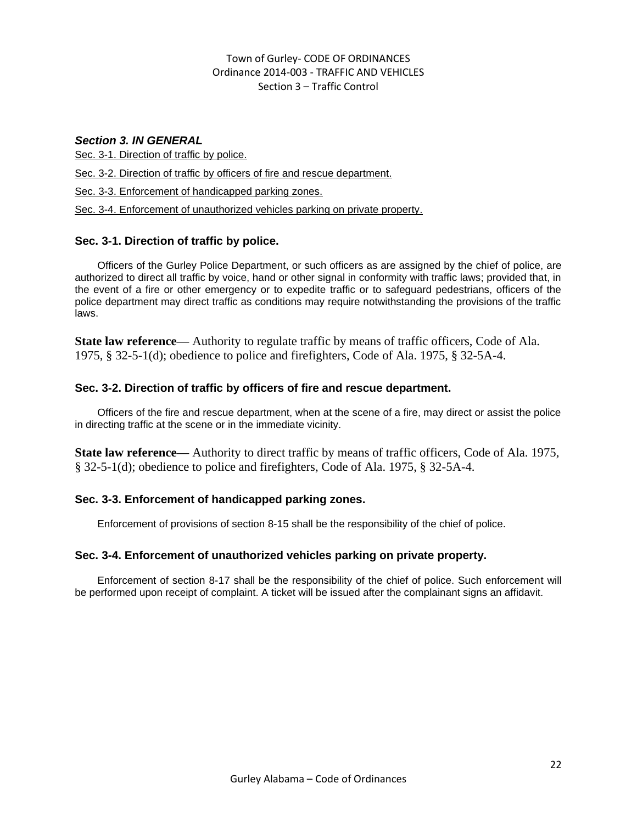## Town of Gurley- CODE OF ORDINANCES Ordinance 2014-003 - TRAFFIC AND VEHICLES Section 3 – Traffic Control

## *Section 3. IN GENERAL*

Sec. 3-1. Direction of traffic by police.

Sec. 3-2. Direction of traffic by officers of fire and rescue department.

Sec. 3-3. Enforcement of handicapped parking zones.

Sec. 3-4. Enforcement of unauthorized vehicles parking on private property.

## **Sec. 3-1. Direction of traffic by police.**

Officers of the Gurley Police Department, or such officers as are assigned by the chief of police, are authorized to direct all traffic by voice, hand or other signal in conformity with traffic laws; provided that, in the event of a fire or other emergency or to expedite traffic or to safeguard pedestrians, officers of the police department may direct traffic as conditions may require notwithstanding the provisions of the traffic laws.

**State law reference—** Authority to regulate traffic by means of traffic officers, Code of Ala. 1975, § 32-5-1(d); obedience to police and firefighters, Code of Ala. 1975, § 32-5A-4.

## **Sec. 3-2. Direction of traffic by officers of fire and rescue department.**

Officers of the fire and rescue department, when at the scene of a fire, may direct or assist the police in directing traffic at the scene or in the immediate vicinity.

**State law reference—** Authority to direct traffic by means of traffic officers, Code of Ala. 1975, § 32-5-1(d); obedience to police and firefighters, Code of Ala. 1975, § 32-5A-4.

### **Sec. 3-3. Enforcement of handicapped parking zones.**

Enforcement of provisions of section 8-15 shall be the responsibility of the chief of police.

### **Sec. 3-4. Enforcement of unauthorized vehicles parking on private property.**

Enforcement of section 8-17 shall be the responsibility of the chief of police. Such enforcement will be performed upon receipt of complaint. A ticket will be issued after the complainant signs an affidavit.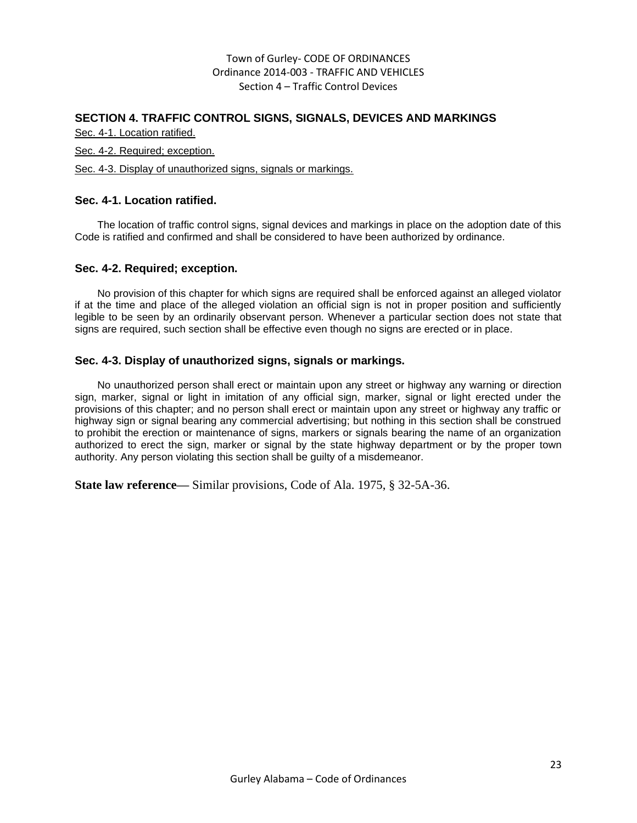## Town of Gurley- CODE OF ORDINANCES Ordinance 2014-003 - TRAFFIC AND VEHICLES Section 4 – Traffic Control Devices

## **SECTION 4. TRAFFIC CONTROL SIGNS, SIGNALS, DEVICES AND MARKINGS**

Sec. 4-1. Location ratified.

Sec. 4-2. Required; exception.

#### Sec. 4-3. Display of unauthorized signs, signals or markings.

#### **Sec. 4-1. Location ratified.**

The location of traffic control signs, signal devices and markings in place on the adoption date of this Code is ratified and confirmed and shall be considered to have been authorized by ordinance.

#### **Sec. 4-2. Required; exception.**

No provision of this chapter for which signs are required shall be enforced against an alleged violator if at the time and place of the alleged violation an official sign is not in proper position and sufficiently legible to be seen by an ordinarily observant person. Whenever a particular section does not state that signs are required, such section shall be effective even though no signs are erected or in place.

#### **Sec. 4-3. Display of unauthorized signs, signals or markings.**

No unauthorized person shall erect or maintain upon any street or highway any warning or direction sign, marker, signal or light in imitation of any official sign, marker, signal or light erected under the provisions of this chapter; and no person shall erect or maintain upon any street or highway any traffic or highway sign or signal bearing any commercial advertising; but nothing in this section shall be construed to prohibit the erection or maintenance of signs, markers or signals bearing the name of an organization authorized to erect the sign, marker or signal by the state highway department or by the proper town authority. Any person violating this section shall be guilty of a misdemeanor.

**State law reference—** Similar provisions, Code of Ala. 1975, § 32-5A-36.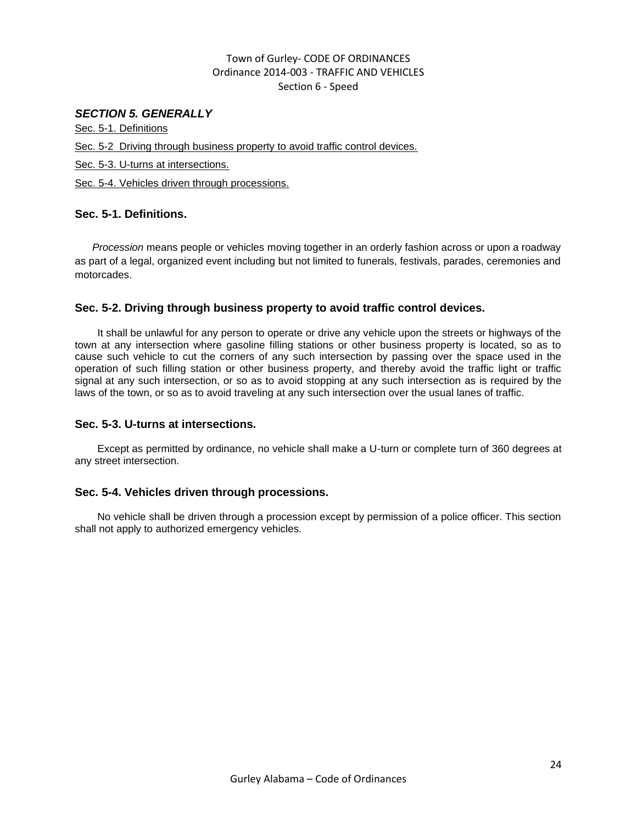## Town of Gurley- CODE OF ORDINANCES Ordinance 2014-003 - TRAFFIC AND VEHICLES Section 6 - Speed

# *SECTION 5. GENERALLY*

Sec. 5-1. Definitions

Sec. 5-2 Driving through business property to avoid traffic control devices.

Sec. 5-3. U-turns at intersections.

Sec. 5-4. Vehicles driven through processions.

## **Sec. 5-1. Definitions.**

 *Procession* means people or vehicles moving together in an orderly fashion across or upon a roadway as part of a legal, organized event including but not limited to funerals, festivals, parades, ceremonies and motorcades.

### **Sec. 5-2. Driving through business property to avoid traffic control devices.**

It shall be unlawful for any person to operate or drive any vehicle upon the streets or highways of the town at any intersection where gasoline filling stations or other business property is located, so as to cause such vehicle to cut the corners of any such intersection by passing over the space used in the operation of such filling station or other business property, and thereby avoid the traffic light or traffic signal at any such intersection, or so as to avoid stopping at any such intersection as is required by the laws of the town, or so as to avoid traveling at any such intersection over the usual lanes of traffic.

## **Sec. 5-3. U-turns at intersections.**

Except as permitted by ordinance, no vehicle shall make a U-turn or complete turn of 360 degrees at any street intersection.

### **Sec. 5-4. Vehicles driven through processions.**

No vehicle shall be driven through a procession except by permission of a police officer. This section shall not apply to authorized emergency vehicles.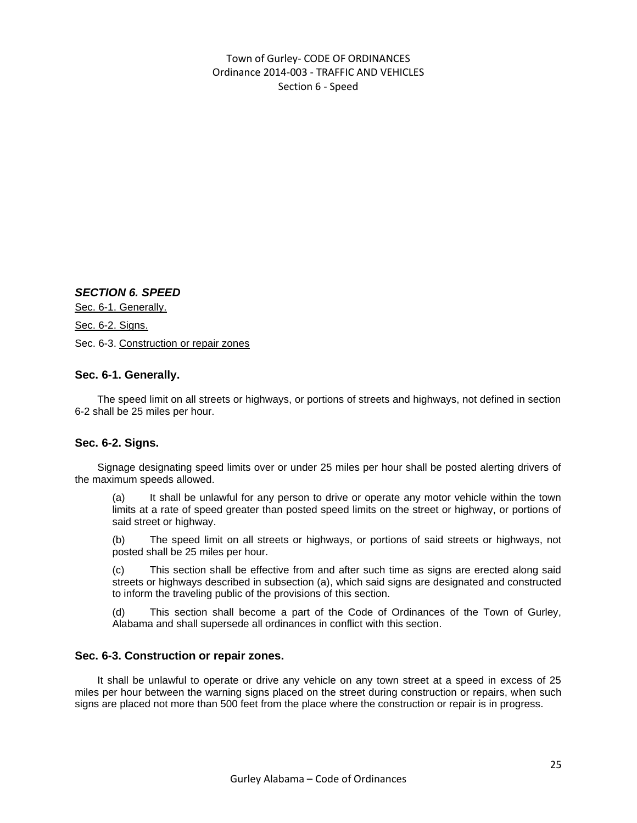Town of Gurley- CODE OF ORDINANCES Ordinance 2014-003 - TRAFFIC AND VEHICLES Section 6 - Speed

*SECTION 6. SPEED* 

[Sec. 6-1. Generally.](#page-24-0) [Sec. 6-2. Signs.](#page-24-1) Sec. 6-3. Construction or repair zones

## <span id="page-24-0"></span>**Sec. 6-1. Generally.**

The speed limit on all streets or highways, or portions of streets and highways, not defined in section 6-2 shall be 25 miles per hour.

### <span id="page-24-1"></span>**Sec. 6-2. Signs.**

Signage designating speed limits over or under 25 miles per hour shall be posted alerting drivers of the maximum speeds allowed.

(a) It shall be unlawful for any person to drive or operate any motor vehicle within the town limits at a rate of speed greater than posted speed limits on the street or highway, or portions of said street or highway.

(b) The speed limit on all streets or highways, or portions of said streets or highways, not posted shall be 25 miles per hour.

(c) This section shall be effective from and after such time as signs are erected along said streets or highways described in subsection (a), which said signs are designated and constructed to inform the traveling public of the provisions of this section.

(d) This section shall become a part of the Code of Ordinances of the Town of Gurley, Alabama and shall supersede all ordinances in conflict with this section.

### **Sec. 6-3. Construction or repair zones.**

It shall be unlawful to operate or drive any vehicle on any town street at a speed in excess of 25 miles per hour between the warning signs placed on the street during construction or repairs, when such signs are placed not more than 500 feet from the place where the construction or repair is in progress.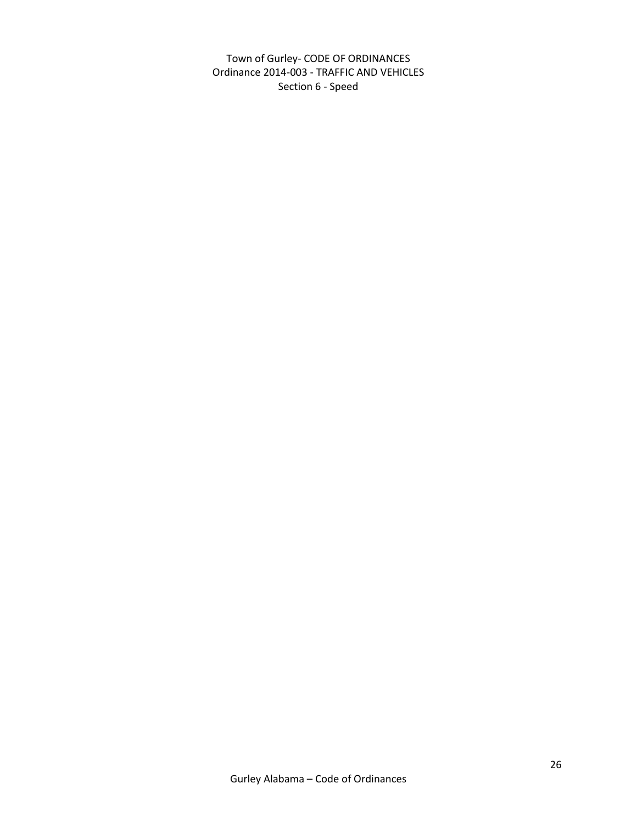Town of Gurley- CODE OF ORDINANCES Ordinance 2014-003 - TRAFFIC AND VEHICLES Section 6 - Speed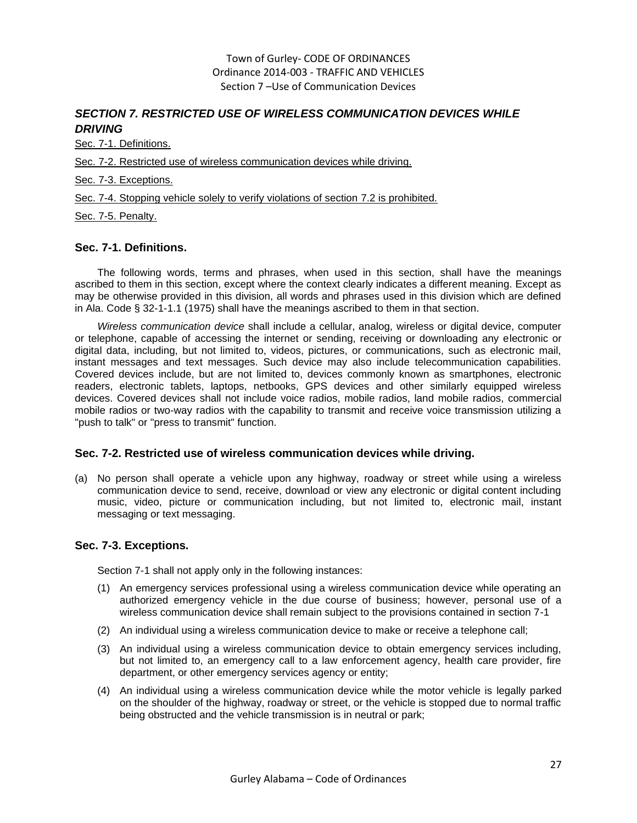Town of Gurley- CODE OF ORDINANCES Ordinance 2014-003 - TRAFFIC AND VEHICLES Section 7 –Use of Communication Devices

## *SECTION 7. RESTRICTED USE OF WIRELESS COMMUNICATION DEVICES WHILE DRIVING*

Sec. 7-1. Definitions.

Sec. 7-2. Restricted use of wireless communication devices while driving.

Sec. 7-3. Exceptions.

Sec. 7-4. Stopping vehicle solely to verify violations of section 7.2 is prohibited.

Sec. 7-5. Penalty.

#### **Sec. 7-1. Definitions.**

The following words, terms and phrases, when used in this section, shall have the meanings ascribed to them in this section, except where the context clearly indicates a different meaning. Except as may be otherwise provided in this division, all words and phrases used in this division which are defined in Ala. Code § 32-1-1.1 (1975) shall have the meanings ascribed to them in that section.

*Wireless communication device* shall include a cellular, analog, wireless or digital device, computer or telephone, capable of accessing the internet or sending, receiving or downloading any electronic or digital data, including, but not limited to, videos, pictures, or communications, such as electronic mail, instant messages and text messages. Such device may also include telecommunication capabilities. Covered devices include, but are not limited to, devices commonly known as smartphones, electronic readers, electronic tablets, laptops, netbooks, GPS devices and other similarly equipped wireless devices. Covered devices shall not include voice radios, mobile radios, land mobile radios, commercial mobile radios or two-way radios with the capability to transmit and receive voice transmission utilizing a "push to talk" or "press to transmit" function.

#### **Sec. 7-2. Restricted use of wireless communication devices while driving.**

(a) No person shall operate a vehicle upon any highway, roadway or street while using a wireless communication device to send, receive, download or view any electronic or digital content including music, video, picture or communication including, but not limited to, electronic mail, instant messaging or text messaging.

#### **Sec. 7-3. Exceptions.**

Section 7-1 shall not apply only in the following instances:

- (1) An emergency services professional using a wireless communication device while operating an authorized emergency vehicle in the due course of business; however, personal use of a wireless communication device shall remain subject to the provisions contained in section 7-1
- (2) An individual using a wireless communication device to make or receive a telephone call;
- (3) An individual using a wireless communication device to obtain emergency services including, but not limited to, an emergency call to a law enforcement agency, health care provider, fire department, or other emergency services agency or entity;
- (4) An individual using a wireless communication device while the motor vehicle is legally parked on the shoulder of the highway, roadway or street, or the vehicle is stopped due to normal traffic being obstructed and the vehicle transmission is in neutral or park;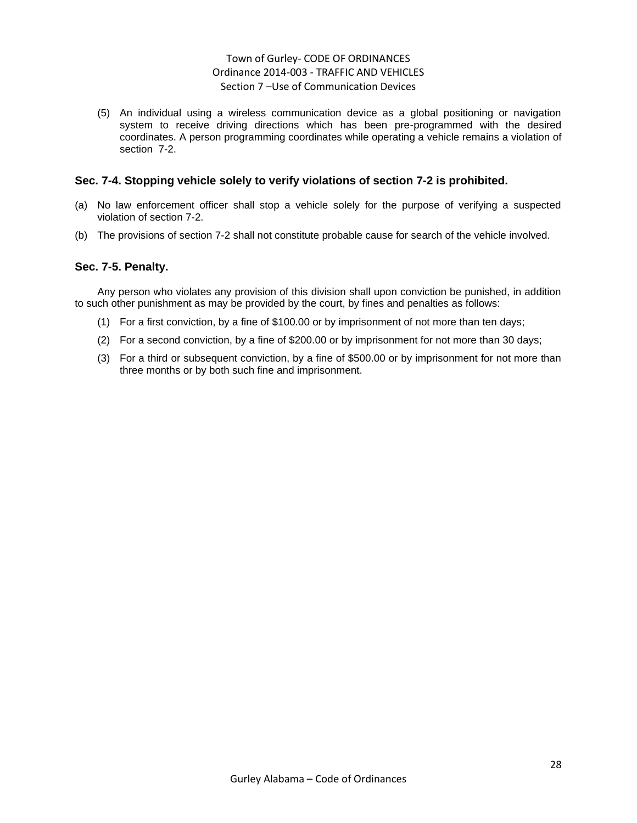## Town of Gurley- CODE OF ORDINANCES Ordinance 2014-003 - TRAFFIC AND VEHICLES Section 7 –Use of Communication Devices

(5) An individual using a wireless communication device as a global positioning or navigation system to receive driving directions which has been pre-programmed with the desired coordinates. A person programming coordinates while operating a vehicle remains a violation of section 7-2.

## **Sec. 7-4. Stopping vehicle solely to verify violations of section 7-2 is prohibited.**

- (a) No law enforcement officer shall stop a vehicle solely for the purpose of verifying a suspected violation of section 7-2.
- (b) The provisions of section 7-2 shall not constitute probable cause for search of the vehicle involved.

#### **Sec. 7-5. Penalty.**

Any person who violates any provision of this division shall upon conviction be punished, in addition to such other punishment as may be provided by the court, by fines and penalties as follows:

- (1) For a first conviction, by a fine of \$100.00 or by imprisonment of not more than ten days;
- (2) For a second conviction, by a fine of \$200.00 or by imprisonment for not more than 30 days;
- (3) For a third or subsequent conviction, by a fine of \$500.00 or by imprisonment for not more than three months or by both such fine and imprisonment.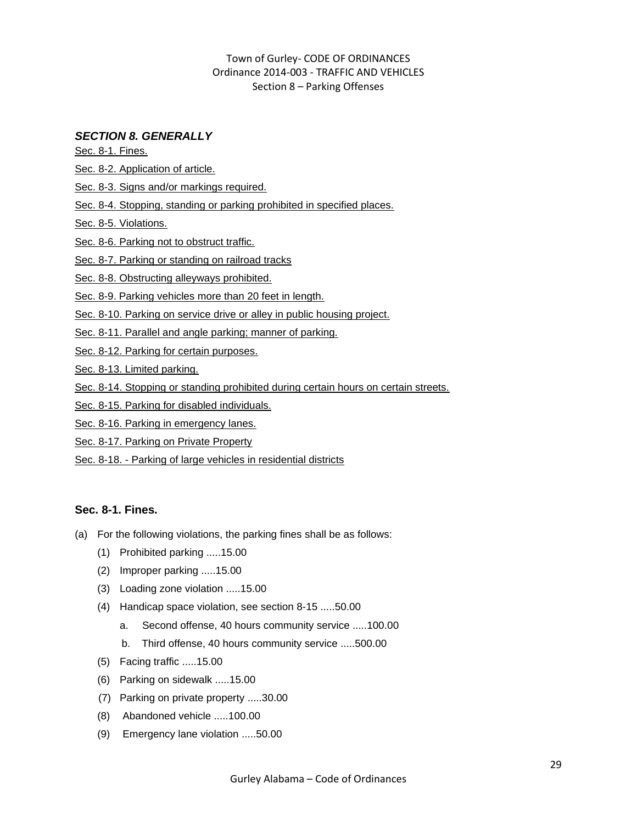## *SECTION 8. GENERALLY*

Sec. 8-1. Fines.

- Sec. 8-2. Application of article.
- Sec. 8-3. Signs and/or markings required.
- Sec. 8-4. Stopping, standing or parking prohibited in specified places.

Sec. 8-5. Violations.

- Sec. 8-6. Parking not to obstruct traffic.
- Sec. 8-7. Parking or standing on railroad tracks
- Sec. 8-8. Obstructing alleyways prohibited.
- Sec. 8-9. Parking vehicles more than 20 feet in length.
- Sec. 8-10. Parking on service drive or alley in public housing project.
- Sec. 8-11. Parallel and angle parking; manner of parking.
- Sec. 8-12. Parking for certain purposes.
- Sec. 8-13. Limited parking.
- Sec. 8-14. Stopping or standing prohibited during certain hours on certain streets.
- Sec. 8-15. Parking for disabled individuals.
- Sec. 8-16. Parking in emergency lanes.
- Sec. 8-17. Parking on Private Property
- Sec. 8-18. Parking of large vehicles in residential districts

## **Sec. 8-1. Fines.**

- (a) For the following violations, the parking fines shall be as follows:
	- (1) Prohibited parking .....15.00
	- (2) Improper parking .....15.00
	- (3) Loading zone violation .....15.00
	- (4) Handicap space violation, see section 8-15 .....50.00
		- a. Second offense, 40 hours community service .....100.00
		- b. Third offense, 40 hours community service .....500.00
	- (5) Facing traffic .....15.00
	- (6) Parking on sidewalk .....15.00
	- (7) Parking on private property .....30.00
	- (8) Abandoned vehicle .....100.00
	- (9) Emergency lane violation .....50.00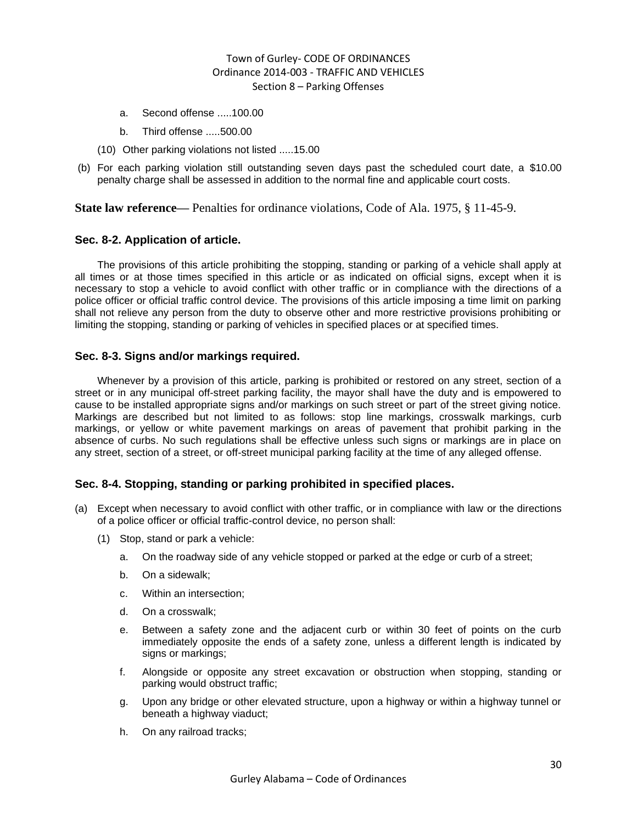- a. Second offense .....100.00
- b. Third offense .....500.00
- (10) Other parking violations not listed .....15.00
- (b) For each parking violation still outstanding seven days past the scheduled court date, a \$10.00 penalty charge shall be assessed in addition to the normal fine and applicable court costs.

**State law reference—** Penalties for ordinance violations, Code of Ala. 1975, § 11-45-9.

#### **Sec. 8-2. Application of article.**

The provisions of this article prohibiting the stopping, standing or parking of a vehicle shall apply at all times or at those times specified in this article or as indicated on official signs, except when it is necessary to stop a vehicle to avoid conflict with other traffic or in compliance with the directions of a police officer or official traffic control device. The provisions of this article imposing a time limit on parking shall not relieve any person from the duty to observe other and more restrictive provisions prohibiting or limiting the stopping, standing or parking of vehicles in specified places or at specified times.

#### **Sec. 8-3. Signs and/or markings required.**

Whenever by a provision of this article, parking is prohibited or restored on any street, section of a street or in any municipal off-street parking facility, the mayor shall have the duty and is empowered to cause to be installed appropriate signs and/or markings on such street or part of the street giving notice. Markings are described but not limited to as follows: stop line markings, crosswalk markings, curb markings, or yellow or white pavement markings on areas of pavement that prohibit parking in the absence of curbs. No such regulations shall be effective unless such signs or markings are in place on any street, section of a street, or off-street municipal parking facility at the time of any alleged offense.

### **Sec. 8-4. Stopping, standing or parking prohibited in specified places.**

- (a) Except when necessary to avoid conflict with other traffic, or in compliance with law or the directions of a police officer or official traffic-control device, no person shall:
	- (1) Stop, stand or park a vehicle:
		- a. On the roadway side of any vehicle stopped or parked at the edge or curb of a street;
		- b. On a sidewalk;
		- c. Within an intersection;
		- d. On a crosswalk;
		- e. Between a safety zone and the adjacent curb or within 30 feet of points on the curb immediately opposite the ends of a safety zone, unless a different length is indicated by signs or markings;
		- f. Alongside or opposite any street excavation or obstruction when stopping, standing or parking would obstruct traffic;
		- g. Upon any bridge or other elevated structure, upon a highway or within a highway tunnel or beneath a highway viaduct;
		- h. On any railroad tracks;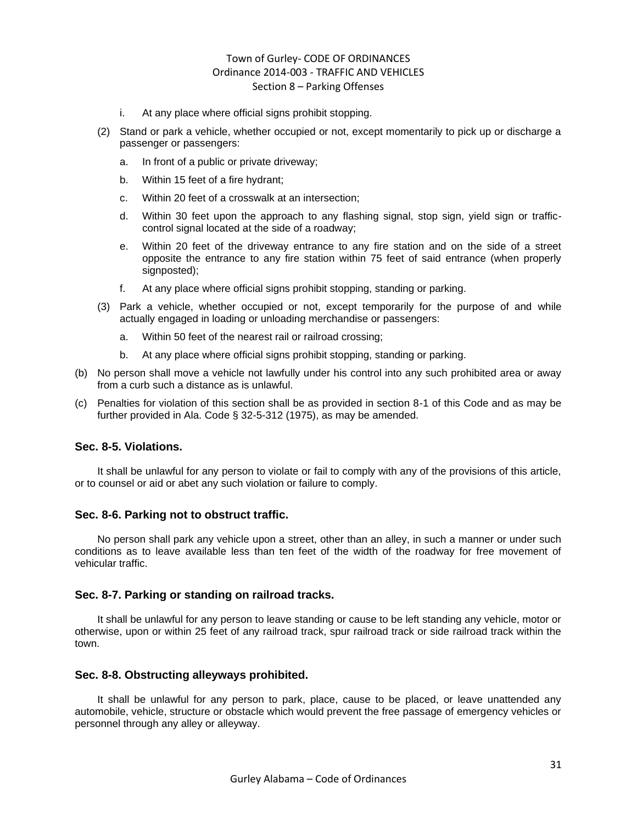- i. At any place where official signs prohibit stopping.
- (2) Stand or park a vehicle, whether occupied or not, except momentarily to pick up or discharge a passenger or passengers:
	- a. In front of a public or private driveway;
	- b. Within 15 feet of a fire hydrant;
	- c. Within 20 feet of a crosswalk at an intersection;
	- d. Within 30 feet upon the approach to any flashing signal, stop sign, yield sign or trafficcontrol signal located at the side of a roadway;
	- e. Within 20 feet of the driveway entrance to any fire station and on the side of a street opposite the entrance to any fire station within 75 feet of said entrance (when properly signposted);
	- f. At any place where official signs prohibit stopping, standing or parking.
- (3) Park a vehicle, whether occupied or not, except temporarily for the purpose of and while actually engaged in loading or unloading merchandise or passengers:
	- a. Within 50 feet of the nearest rail or railroad crossing;
	- b. At any place where official signs prohibit stopping, standing or parking.
- (b) No person shall move a vehicle not lawfully under his control into any such prohibited area or away from a curb such a distance as is unlawful.
- (c) Penalties for violation of this section shall be as provided in section 8-1 of this Code and as may be further provided in Ala. Code § 32-5-312 (1975), as may be amended.

## **Sec. 8-5. Violations.**

It shall be unlawful for any person to violate or fail to comply with any of the provisions of this article, or to counsel or aid or abet any such violation or failure to comply.

#### **Sec. 8-6. Parking not to obstruct traffic.**

No person shall park any vehicle upon a street, other than an alley, in such a manner or under such conditions as to leave available less than ten feet of the width of the roadway for free movement of vehicular traffic.

#### **Sec. 8-7. Parking or standing on railroad tracks.**

It shall be unlawful for any person to leave standing or cause to be left standing any vehicle, motor or otherwise, upon or within 25 feet of any railroad track, spur railroad track or side railroad track within the town.

#### **Sec. 8-8. Obstructing alleyways prohibited.**

It shall be unlawful for any person to park, place, cause to be placed, or leave unattended any automobile, vehicle, structure or obstacle which would prevent the free passage of emergency vehicles or personnel through any alley or alleyway.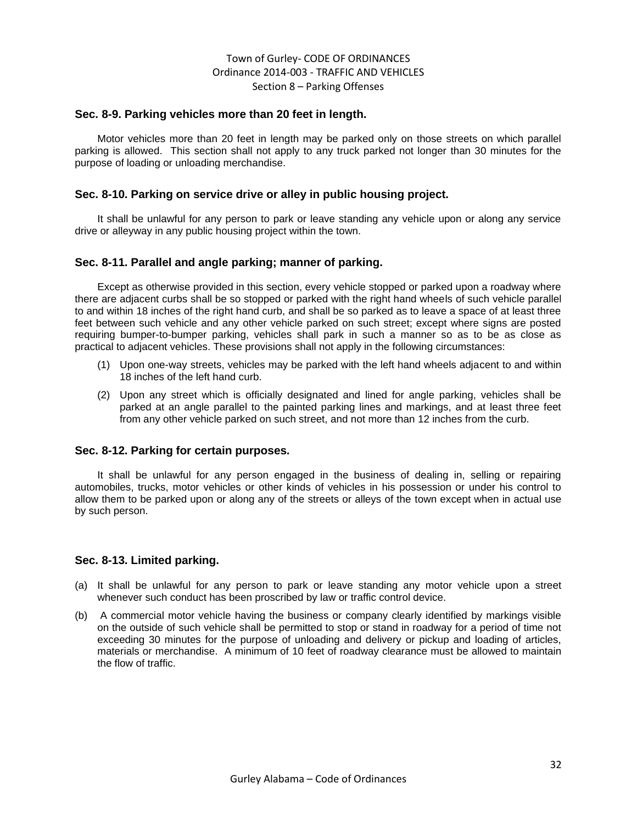#### **Sec. 8-9. Parking vehicles more than 20 feet in length.**

Motor vehicles more than 20 feet in length may be parked only on those streets on which parallel parking is allowed. This section shall not apply to any truck parked not longer than 30 minutes for the purpose of loading or unloading merchandise.

#### **Sec. 8-10. Parking on service drive or alley in public housing project.**

It shall be unlawful for any person to park or leave standing any vehicle upon or along any service drive or alleyway in any public housing project within the town.

#### **Sec. 8-11. Parallel and angle parking; manner of parking.**

Except as otherwise provided in this section, every vehicle stopped or parked upon a roadway where there are adjacent curbs shall be so stopped or parked with the right hand wheels of such vehicle parallel to and within 18 inches of the right hand curb, and shall be so parked as to leave a space of at least three feet between such vehicle and any other vehicle parked on such street; except where signs are posted requiring bumper-to-bumper parking, vehicles shall park in such a manner so as to be as close as practical to adjacent vehicles. These provisions shall not apply in the following circumstances:

- (1) Upon one-way streets, vehicles may be parked with the left hand wheels adjacent to and within 18 inches of the left hand curb.
- (2) Upon any street which is officially designated and lined for angle parking, vehicles shall be parked at an angle parallel to the painted parking lines and markings, and at least three feet from any other vehicle parked on such street, and not more than 12 inches from the curb.

#### **Sec. 8-12. Parking for certain purposes.**

It shall be unlawful for any person engaged in the business of dealing in, selling or repairing automobiles, trucks, motor vehicles or other kinds of vehicles in his possession or under his control to allow them to be parked upon or along any of the streets or alleys of the town except when in actual use by such person.

### **Sec. 8-13. Limited parking.**

- (a) It shall be unlawful for any person to park or leave standing any motor vehicle upon a street whenever such conduct has been proscribed by law or traffic control device.
- (b) A commercial motor vehicle having the business or company clearly identified by markings visible on the outside of such vehicle shall be permitted to stop or stand in roadway for a period of time not exceeding 30 minutes for the purpose of unloading and delivery or pickup and loading of articles, materials or merchandise. A minimum of 10 feet of roadway clearance must be allowed to maintain the flow of traffic.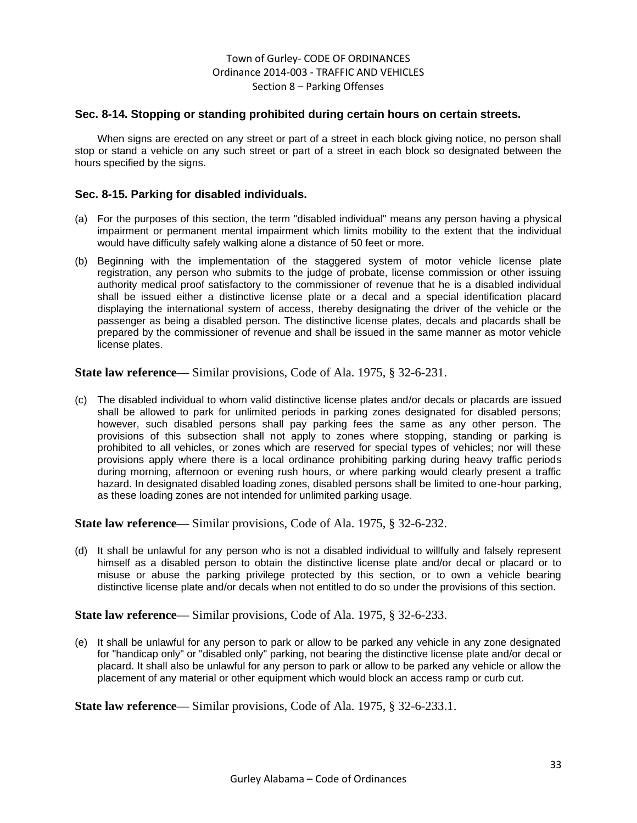#### **Sec. 8-14. Stopping or standing prohibited during certain hours on certain streets.**

When signs are erected on any street or part of a street in each block giving notice, no person shall stop or stand a vehicle on any such street or part of a street in each block so designated between the hours specified by the signs.

### **Sec. 8-15. Parking for disabled individuals.**

- (a) For the purposes of this section, the term "disabled individual" means any person having a physical impairment or permanent mental impairment which limits mobility to the extent that the individual would have difficulty safely walking alone a distance of 50 feet or more.
- (b) Beginning with the implementation of the staggered system of motor vehicle license plate registration, any person who submits to the judge of probate, license commission or other issuing authority medical proof satisfactory to the commissioner of revenue that he is a disabled individual shall be issued either a distinctive license plate or a decal and a special identification placard displaying the international system of access, thereby designating the driver of the vehicle or the passenger as being a disabled person. The distinctive license plates, decals and placards shall be prepared by the commissioner of revenue and shall be issued in the same manner as motor vehicle license plates.

#### **State law reference—** Similar provisions, Code of Ala. 1975, § 32-6-231.

(c) The disabled individual to whom valid distinctive license plates and/or decals or placards are issued shall be allowed to park for unlimited periods in parking zones designated for disabled persons; however, such disabled persons shall pay parking fees the same as any other person. The provisions of this subsection shall not apply to zones where stopping, standing or parking is prohibited to all vehicles, or zones which are reserved for special types of vehicles; nor will these provisions apply where there is a local ordinance prohibiting parking during heavy traffic periods during morning, afternoon or evening rush hours, or where parking would clearly present a traffic hazard. In designated disabled loading zones, disabled persons shall be limited to one-hour parking, as these loading zones are not intended for unlimited parking usage.

**State law reference—** Similar provisions, Code of Ala. 1975, § 32-6-232.

(d) It shall be unlawful for any person who is not a disabled individual to willfully and falsely represent himself as a disabled person to obtain the distinctive license plate and/or decal or placard or to misuse or abuse the parking privilege protected by this section, or to own a vehicle bearing distinctive license plate and/or decals when not entitled to do so under the provisions of this section.

**State law reference—** Similar provisions, Code of Ala. 1975, § 32-6-233.

(e) It shall be unlawful for any person to park or allow to be parked any vehicle in any zone designated for "handicap only" or "disabled only" parking, not bearing the distinctive license plate and/or decal or placard. It shall also be unlawful for any person to park or allow to be parked any vehicle or allow the placement of any material or other equipment which would block an access ramp or curb cut.

**State law reference—** Similar provisions, Code of Ala. 1975, § 32-6-233.1.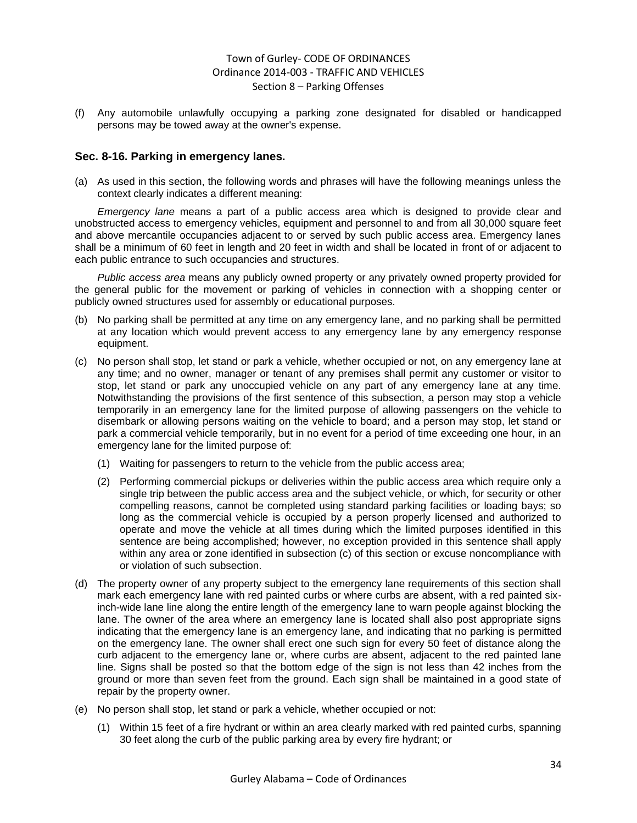(f) Any automobile unlawfully occupying a parking zone designated for disabled or handicapped persons may be towed away at the owner's expense.

#### **Sec. 8-16. Parking in emergency lanes.**

(a) As used in this section, the following words and phrases will have the following meanings unless the context clearly indicates a different meaning:

*Emergency lane* means a part of a public access area which is designed to provide clear and unobstructed access to emergency vehicles, equipment and personnel to and from all 30,000 square feet and above mercantile occupancies adjacent to or served by such public access area. Emergency lanes shall be a minimum of 60 feet in length and 20 feet in width and shall be located in front of or adjacent to each public entrance to such occupancies and structures.

*Public access area* means any publicly owned property or any privately owned property provided for the general public for the movement or parking of vehicles in connection with a shopping center or publicly owned structures used for assembly or educational purposes.

- (b) No parking shall be permitted at any time on any emergency lane, and no parking shall be permitted at any location which would prevent access to any emergency lane by any emergency response equipment.
- (c) No person shall stop, let stand or park a vehicle, whether occupied or not, on any emergency lane at any time; and no owner, manager or tenant of any premises shall permit any customer or visitor to stop, let stand or park any unoccupied vehicle on any part of any emergency lane at any time. Notwithstanding the provisions of the first sentence of this subsection, a person may stop a vehicle temporarily in an emergency lane for the limited purpose of allowing passengers on the vehicle to disembark or allowing persons waiting on the vehicle to board; and a person may stop, let stand or park a commercial vehicle temporarily, but in no event for a period of time exceeding one hour, in an emergency lane for the limited purpose of:
	- (1) Waiting for passengers to return to the vehicle from the public access area;
	- (2) Performing commercial pickups or deliveries within the public access area which require only a single trip between the public access area and the subject vehicle, or which, for security or other compelling reasons, cannot be completed using standard parking facilities or loading bays; so long as the commercial vehicle is occupied by a person properly licensed and authorized to operate and move the vehicle at all times during which the limited purposes identified in this sentence are being accomplished; however, no exception provided in this sentence shall apply within any area or zone identified in subsection (c) of this section or excuse noncompliance with or violation of such subsection.
- (d) The property owner of any property subject to the emergency lane requirements of this section shall mark each emergency lane with red painted curbs or where curbs are absent, with a red painted sixinch-wide lane line along the entire length of the emergency lane to warn people against blocking the lane. The owner of the area where an emergency lane is located shall also post appropriate signs indicating that the emergency lane is an emergency lane, and indicating that no parking is permitted on the emergency lane. The owner shall erect one such sign for every 50 feet of distance along the curb adjacent to the emergency lane or, where curbs are absent, adjacent to the red painted lane line. Signs shall be posted so that the bottom edge of the sign is not less than 42 inches from the ground or more than seven feet from the ground. Each sign shall be maintained in a good state of repair by the property owner.
- (e) No person shall stop, let stand or park a vehicle, whether occupied or not:
	- (1) Within 15 feet of a fire hydrant or within an area clearly marked with red painted curbs, spanning 30 feet along the curb of the public parking area by every fire hydrant; or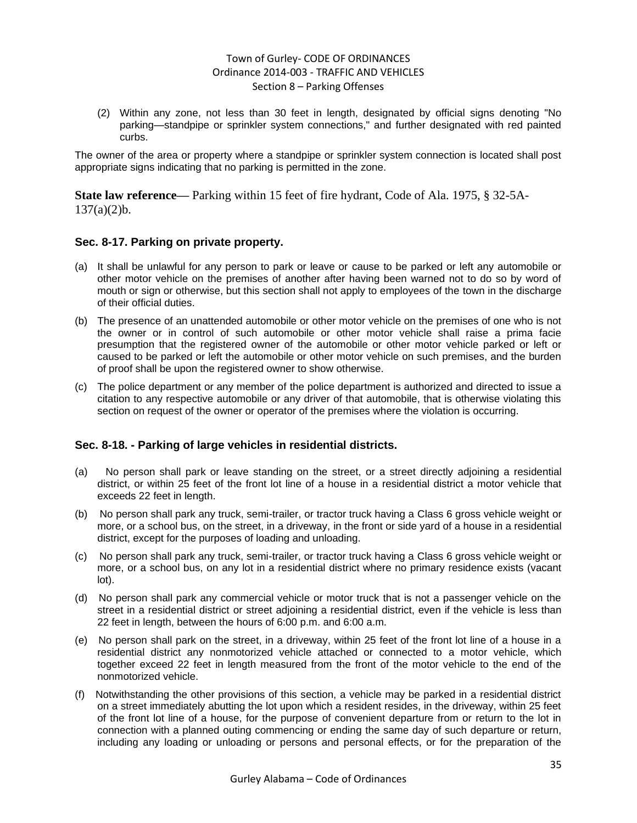(2) Within any zone, not less than 30 feet in length, designated by official signs denoting "No parking—standpipe or sprinkler system connections," and further designated with red painted curbs.

The owner of the area or property where a standpipe or sprinkler system connection is located shall post appropriate signs indicating that no parking is permitted in the zone.

**State law reference—** Parking within 15 feet of fire hydrant, Code of Ala. 1975, § 32-5A- $137(a)(2)b$ .

#### **Sec. 8-17. Parking on private property.**

- (a) It shall be unlawful for any person to park or leave or cause to be parked or left any automobile or other motor vehicle on the premises of another after having been warned not to do so by word of mouth or sign or otherwise, but this section shall not apply to employees of the town in the discharge of their official duties.
- (b) The presence of an unattended automobile or other motor vehicle on the premises of one who is not the owner or in control of such automobile or other motor vehicle shall raise a prima facie presumption that the registered owner of the automobile or other motor vehicle parked or left or caused to be parked or left the automobile or other motor vehicle on such premises, and the burden of proof shall be upon the registered owner to show otherwise.
- (c) The police department or any member of the police department is authorized and directed to issue a citation to any respective automobile or any driver of that automobile, that is otherwise violating this section on request of the owner or operator of the premises where the violation is occurring.

### **Sec. 8-18. - Parking of large vehicles in residential districts.**

- (a) No person shall park or leave standing on the street, or a street directly adjoining a residential district, or within 25 feet of the front lot line of a house in a residential district a motor vehicle that exceeds 22 feet in length.
- (b) No person shall park any truck, semi-trailer, or tractor truck having a Class 6 gross vehicle weight or more, or a school bus, on the street, in a driveway, in the front or side yard of a house in a residential district, except for the purposes of loading and unloading.
- (c) No person shall park any truck, semi-trailer, or tractor truck having a Class 6 gross vehicle weight or more, or a school bus, on any lot in a residential district where no primary residence exists (vacant lot).
- (d) No person shall park any commercial vehicle or motor truck that is not a passenger vehicle on the street in a residential district or street adjoining a residential district, even if the vehicle is less than 22 feet in length, between the hours of 6:00 p.m. and 6:00 a.m.
- (e) No person shall park on the street, in a driveway, within 25 feet of the front lot line of a house in a residential district any nonmotorized vehicle attached or connected to a motor vehicle, which together exceed 22 feet in length measured from the front of the motor vehicle to the end of the nonmotorized vehicle.
- (f) Notwithstanding the other provisions of this section, a vehicle may be parked in a residential district on a street immediately abutting the lot upon which a resident resides, in the driveway, within 25 feet of the front lot line of a house, for the purpose of convenient departure from or return to the lot in connection with a planned outing commencing or ending the same day of such departure or return, including any loading or unloading or persons and personal effects, or for the preparation of the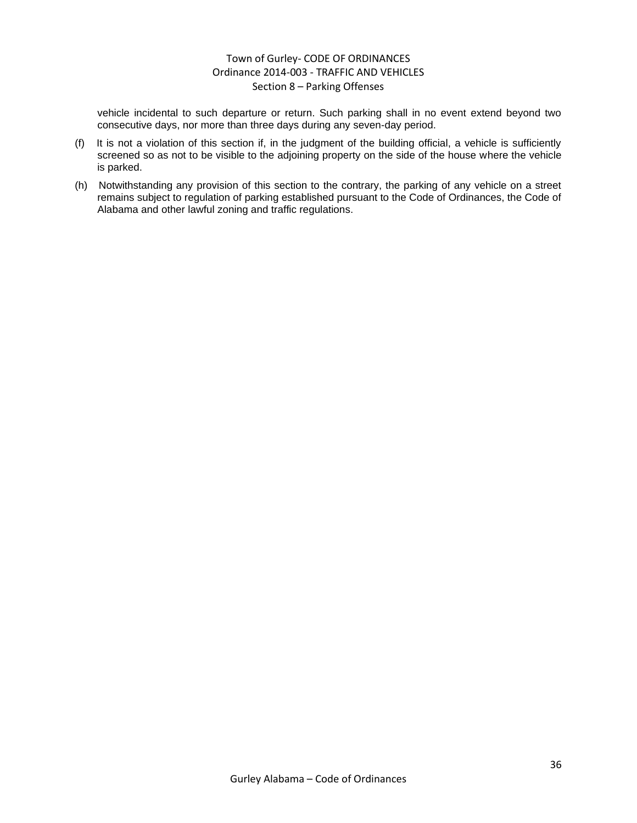vehicle incidental to such departure or return. Such parking shall in no event extend beyond two consecutive days, nor more than three days during any seven-day period.

- (f) It is not a violation of this section if, in the judgment of the building official, a vehicle is sufficiently screened so as not to be visible to the adjoining property on the side of the house where the vehicle is parked.
- (h) Notwithstanding any provision of this section to the contrary, the parking of any vehicle on a street remains subject to regulation of parking established pursuant to the Code of Ordinances, the Code of Alabama and other lawful zoning and traffic regulations.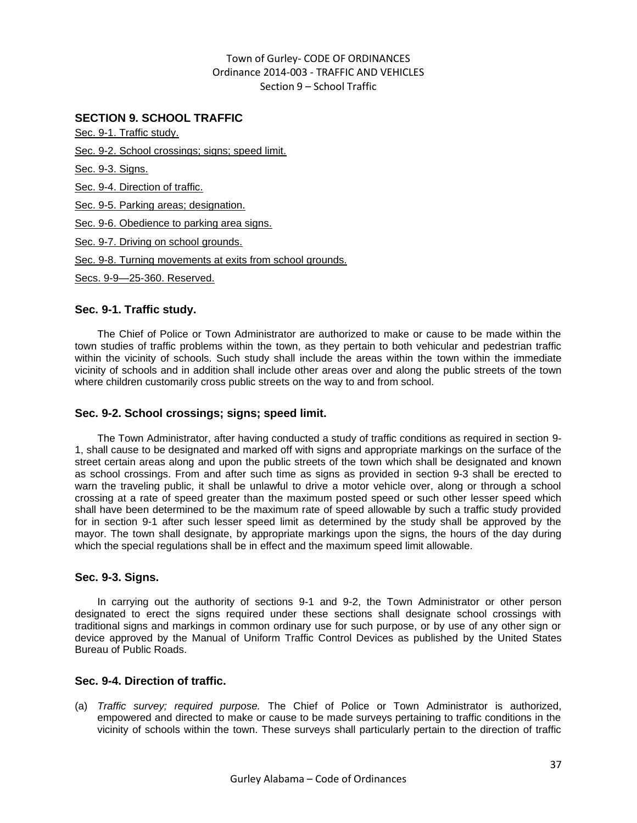## Town of Gurley- CODE OF ORDINANCES Ordinance 2014-003 - TRAFFIC AND VEHICLES Section 9 – School Traffic

## **SECTION 9. SCHOOL TRAFFIC**

Sec. 9-1. Traffic study.

Sec. 9-2. School crossings; signs; speed limit.

Sec. 9-3. Signs.

Sec. 9-4. Direction of traffic.

Sec. 9-5. Parking areas; designation.

Sec. 9-6. Obedience to parking area signs.

Sec. 9-7. Driving on school grounds.

Sec. 9-8. Turning movements at exits from school grounds.

Secs. 9-9—25-360. Reserved.

### **Sec. 9-1. Traffic study.**

The Chief of Police or Town Administrator are authorized to make or cause to be made within the town studies of traffic problems within the town, as they pertain to both vehicular and pedestrian traffic within the vicinity of schools. Such study shall include the areas within the town within the immediate vicinity of schools and in addition shall include other areas over and along the public streets of the town where children customarily cross public streets on the way to and from school.

#### **Sec. 9-2. School crossings; signs; speed limit.**

The Town Administrator, after having conducted a study of traffic conditions as required in section 9- 1, shall cause to be designated and marked off with signs and appropriate markings on the surface of the street certain areas along and upon the public streets of the town which shall be designated and known as school crossings. From and after such time as signs as provided in section 9-3 shall be erected to warn the traveling public, it shall be unlawful to drive a motor vehicle over, along or through a school crossing at a rate of speed greater than the maximum posted speed or such other lesser speed which shall have been determined to be the maximum rate of speed allowable by such a traffic study provided for in section 9-1 after such lesser speed limit as determined by the study shall be approved by the mayor. The town shall designate, by appropriate markings upon the signs, the hours of the day during which the special regulations shall be in effect and the maximum speed limit allowable.

### **Sec. 9-3. Signs.**

In carrying out the authority of sections 9-1 and 9-2, the Town Administrator or other person designated to erect the signs required under these sections shall designate school crossings with traditional signs and markings in common ordinary use for such purpose, or by use of any other sign or device approved by the Manual of Uniform Traffic Control Devices as published by the United States Bureau of Public Roads.

### **Sec. 9-4. Direction of traffic.**

(a) *Traffic survey; required purpose.* The Chief of Police or Town Administrator is authorized, empowered and directed to make or cause to be made surveys pertaining to traffic conditions in the vicinity of schools within the town. These surveys shall particularly pertain to the direction of traffic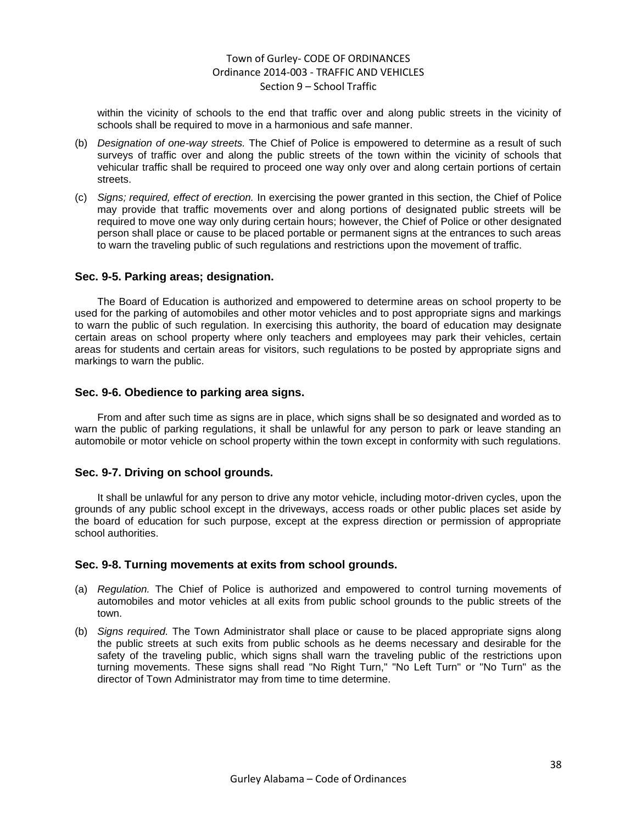## Town of Gurley- CODE OF ORDINANCES Ordinance 2014-003 - TRAFFIC AND VEHICLES Section 9 – School Traffic

within the vicinity of schools to the end that traffic over and along public streets in the vicinity of schools shall be required to move in a harmonious and safe manner.

- (b) *Designation of one-way streets.* The Chief of Police is empowered to determine as a result of such surveys of traffic over and along the public streets of the town within the vicinity of schools that vehicular traffic shall be required to proceed one way only over and along certain portions of certain streets.
- (c) *Signs; required, effect of erection.* In exercising the power granted in this section, the Chief of Police may provide that traffic movements over and along portions of designated public streets will be required to move one way only during certain hours; however, the Chief of Police or other designated person shall place or cause to be placed portable or permanent signs at the entrances to such areas to warn the traveling public of such regulations and restrictions upon the movement of traffic.

#### **Sec. 9-5. Parking areas; designation.**

The Board of Education is authorized and empowered to determine areas on school property to be used for the parking of automobiles and other motor vehicles and to post appropriate signs and markings to warn the public of such regulation. In exercising this authority, the board of education may designate certain areas on school property where only teachers and employees may park their vehicles, certain areas for students and certain areas for visitors, such regulations to be posted by appropriate signs and markings to warn the public.

#### **Sec. 9-6. Obedience to parking area signs.**

From and after such time as signs are in place, which signs shall be so designated and worded as to warn the public of parking regulations, it shall be unlawful for any person to park or leave standing an automobile or motor vehicle on school property within the town except in conformity with such regulations.

### **Sec. 9-7. Driving on school grounds.**

It shall be unlawful for any person to drive any motor vehicle, including motor-driven cycles, upon the grounds of any public school except in the driveways, access roads or other public places set aside by the board of education for such purpose, except at the express direction or permission of appropriate school authorities.

### **Sec. 9-8. Turning movements at exits from school grounds.**

- (a) *Regulation.* The Chief of Police is authorized and empowered to control turning movements of automobiles and motor vehicles at all exits from public school grounds to the public streets of the town.
- (b) *Signs required.* The Town Administrator shall place or cause to be placed appropriate signs along the public streets at such exits from public schools as he deems necessary and desirable for the safety of the traveling public, which signs shall warn the traveling public of the restrictions upon turning movements. These signs shall read "No Right Turn," "No Left Turn" or "No Turn" as the director of Town Administrator may from time to time determine.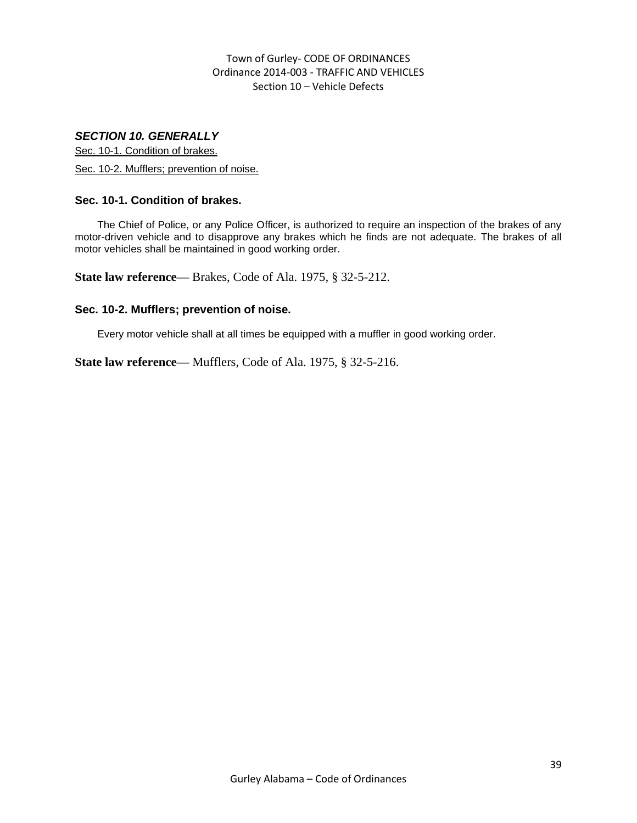## Town of Gurley- CODE OF ORDINANCES Ordinance 2014-003 - TRAFFIC AND VEHICLES Section 10 – Vehicle Defects

## *SECTION 10. GENERALLY*

Sec. 10-1. Condition of brakes.

Sec. 10-2. Mufflers; prevention of noise.

## **Sec. 10-1. Condition of brakes.**

The Chief of Police, or any Police Officer, is authorized to require an inspection of the brakes of any motor-driven vehicle and to disapprove any brakes which he finds are not adequate. The brakes of all motor vehicles shall be maintained in good working order.

**State law reference—** Brakes, Code of Ala. 1975, § 32-5-212.

### **Sec. 10-2. Mufflers; prevention of noise.**

Every motor vehicle shall at all times be equipped with a muffler in good working order.

**State law reference—** Mufflers, Code of Ala. 1975, § 32-5-216.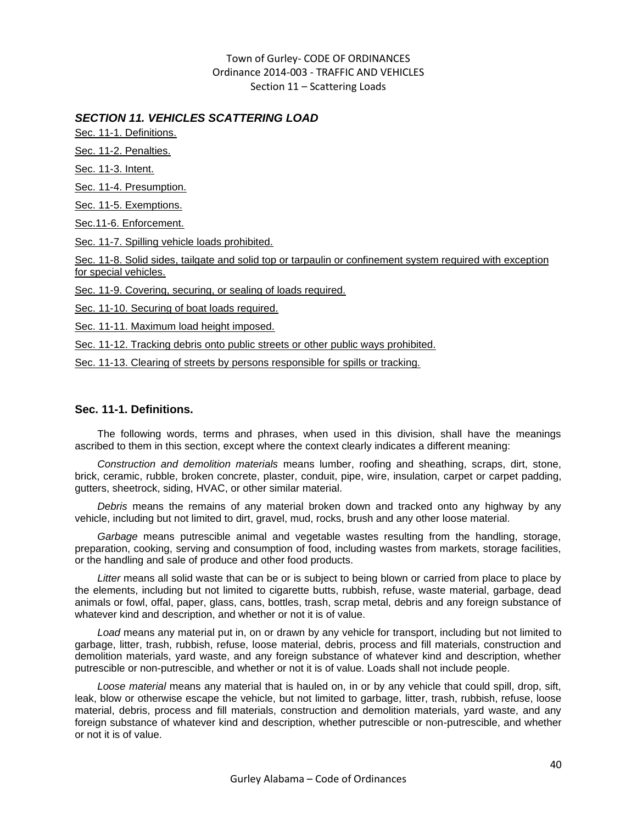## *SECTION 11. VEHICLES SCATTERING LOAD*

Sec. 11-1. Definitions.

Sec. 11-2. Penalties.

Sec. 11-3. Intent.

Sec. 11-4. Presumption.

Sec. 11-5. Exemptions.

Sec.11-6. Enforcement.

Sec. 11-7. Spilling vehicle loads prohibited.

Sec. 11-8. Solid sides, tailgate and solid top or tarpaulin or confinement system required with exception for special vehicles.

Sec. 11-9. Covering, securing, or sealing of loads required.

Sec. 11-10. Securing of boat loads required.

Sec. 11-11. Maximum load height imposed.

Sec. 11-12. Tracking debris onto public streets or other public ways prohibited.

Sec. 11-13. Clearing of streets by persons responsible for spills or tracking.

## **Sec. 11-1. Definitions.**

The following words, terms and phrases, when used in this division, shall have the meanings ascribed to them in this section, except where the context clearly indicates a different meaning:

*Construction and demolition materials* means lumber, roofing and sheathing, scraps, dirt, stone, brick, ceramic, rubble, broken concrete, plaster, conduit, pipe, wire, insulation, carpet or carpet padding, gutters, sheetrock, siding, HVAC, or other similar material.

*Debris* means the remains of any material broken down and tracked onto any highway by any vehicle, including but not limited to dirt, gravel, mud, rocks, brush and any other loose material.

*Garbage* means putrescible animal and vegetable wastes resulting from the handling, storage, preparation, cooking, serving and consumption of food, including wastes from markets, storage facilities, or the handling and sale of produce and other food products.

*Litter* means all solid waste that can be or is subject to being blown or carried from place to place by the elements, including but not limited to cigarette butts, rubbish, refuse, waste material, garbage, dead animals or fowl, offal, paper, glass, cans, bottles, trash, scrap metal, debris and any foreign substance of whatever kind and description, and whether or not it is of value.

*Load* means any material put in, on or drawn by any vehicle for transport, including but not limited to garbage, litter, trash, rubbish, refuse, loose material, debris, process and fill materials, construction and demolition materials, yard waste, and any foreign substance of whatever kind and description, whether putrescible or non-putrescible, and whether or not it is of value. Loads shall not include people.

*Loose material* means any material that is hauled on, in or by any vehicle that could spill, drop, sift, leak, blow or otherwise escape the vehicle, but not limited to garbage, litter, trash, rubbish, refuse, loose material, debris, process and fill materials, construction and demolition materials, yard waste, and any foreign substance of whatever kind and description, whether putrescible or non-putrescible, and whether or not it is of value.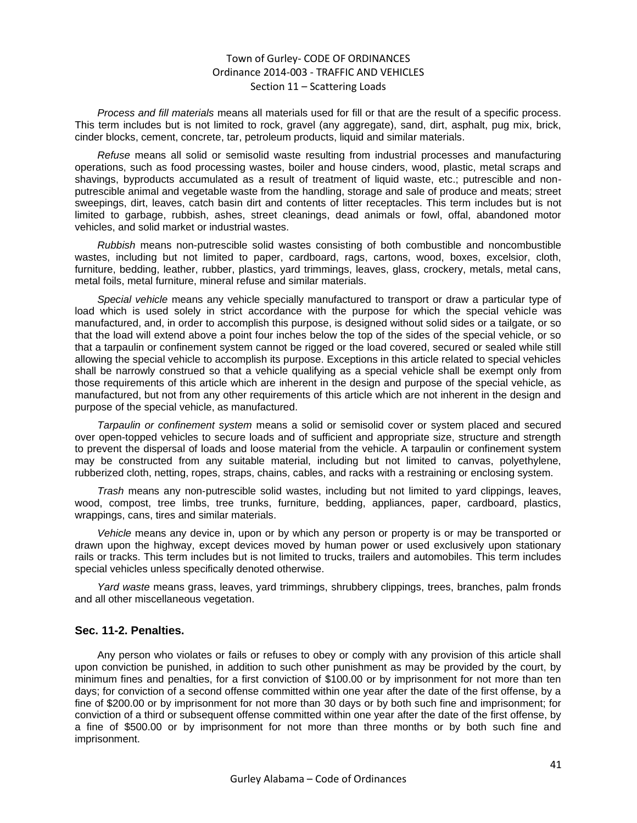*Process and fill materials* means all materials used for fill or that are the result of a specific process. This term includes but is not limited to rock, gravel (any aggregate), sand, dirt, asphalt, pug mix, brick, cinder blocks, cement, concrete, tar, petroleum products, liquid and similar materials.

*Refuse* means all solid or semisolid waste resulting from industrial processes and manufacturing operations, such as food processing wastes, boiler and house cinders, wood, plastic, metal scraps and shavings, byproducts accumulated as a result of treatment of liquid waste, etc.; putrescible and nonputrescible animal and vegetable waste from the handling, storage and sale of produce and meats; street sweepings, dirt, leaves, catch basin dirt and contents of litter receptacles. This term includes but is not limited to garbage, rubbish, ashes, street cleanings, dead animals or fowl, offal, abandoned motor vehicles, and solid market or industrial wastes.

*Rubbish* means non-putrescible solid wastes consisting of both combustible and noncombustible wastes, including but not limited to paper, cardboard, rags, cartons, wood, boxes, excelsior, cloth, furniture, bedding, leather, rubber, plastics, yard trimmings, leaves, glass, crockery, metals, metal cans, metal foils, metal furniture, mineral refuse and similar materials.

*Special vehicle* means any vehicle specially manufactured to transport or draw a particular type of load which is used solely in strict accordance with the purpose for which the special vehicle was manufactured, and, in order to accomplish this purpose, is designed without solid sides or a tailgate, or so that the load will extend above a point four inches below the top of the sides of the special vehicle, or so that a tarpaulin or confinement system cannot be rigged or the load covered, secured or sealed while still allowing the special vehicle to accomplish its purpose. Exceptions in this article related to special vehicles shall be narrowly construed so that a vehicle qualifying as a special vehicle shall be exempt only from those requirements of this article which are inherent in the design and purpose of the special vehicle, as manufactured, but not from any other requirements of this article which are not inherent in the design and purpose of the special vehicle, as manufactured.

*Tarpaulin or confinement system* means a solid or semisolid cover or system placed and secured over open-topped vehicles to secure loads and of sufficient and appropriate size, structure and strength to prevent the dispersal of loads and loose material from the vehicle. A tarpaulin or confinement system may be constructed from any suitable material, including but not limited to canvas, polyethylene, rubberized cloth, netting, ropes, straps, chains, cables, and racks with a restraining or enclosing system.

*Trash* means any non-putrescible solid wastes, including but not limited to yard clippings, leaves, wood, compost, tree limbs, tree trunks, furniture, bedding, appliances, paper, cardboard, plastics, wrappings, cans, tires and similar materials.

*Vehicle* means any device in, upon or by which any person or property is or may be transported or drawn upon the highway, except devices moved by human power or used exclusively upon stationary rails or tracks. This term includes but is not limited to trucks, trailers and automobiles. This term includes special vehicles unless specifically denoted otherwise.

*Yard waste* means grass, leaves, yard trimmings, shrubbery clippings, trees, branches, palm fronds and all other miscellaneous vegetation.

## **Sec. 11-2. Penalties.**

Any person who violates or fails or refuses to obey or comply with any provision of this article shall upon conviction be punished, in addition to such other punishment as may be provided by the court, by minimum fines and penalties, for a first conviction of \$100.00 or by imprisonment for not more than ten days; for conviction of a second offense committed within one year after the date of the first offense, by a fine of \$200.00 or by imprisonment for not more than 30 days or by both such fine and imprisonment; for conviction of a third or subsequent offense committed within one year after the date of the first offense, by a fine of \$500.00 or by imprisonment for not more than three months or by both such fine and imprisonment.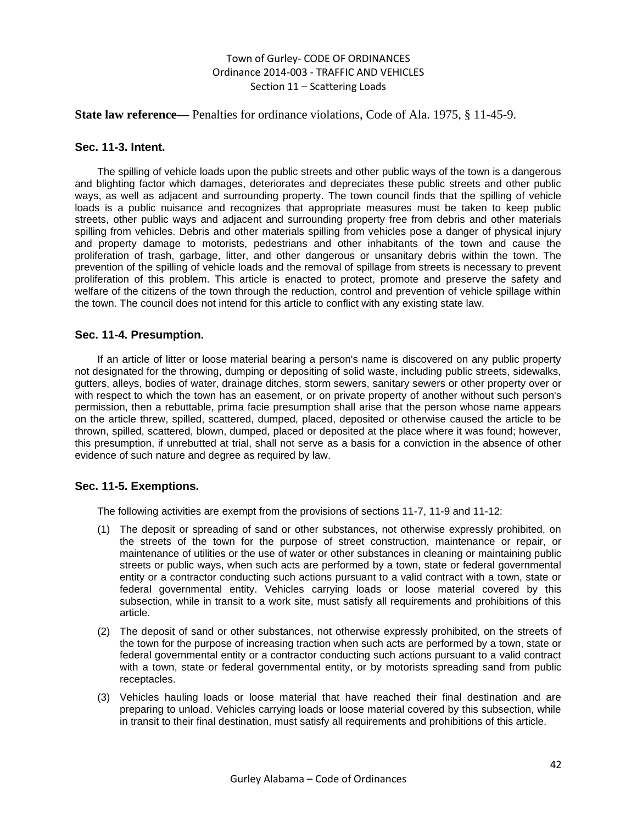**State law reference—** Penalties for ordinance violations, Code of Ala. 1975, § 11-45-9.

#### **Sec. 11-3. Intent.**

The spilling of vehicle loads upon the public streets and other public ways of the town is a dangerous and blighting factor which damages, deteriorates and depreciates these public streets and other public ways, as well as adjacent and surrounding property. The town council finds that the spilling of vehicle loads is a public nuisance and recognizes that appropriate measures must be taken to keep public streets, other public ways and adjacent and surrounding property free from debris and other materials spilling from vehicles. Debris and other materials spilling from vehicles pose a danger of physical injury and property damage to motorists, pedestrians and other inhabitants of the town and cause the proliferation of trash, garbage, litter, and other dangerous or unsanitary debris within the town. The prevention of the spilling of vehicle loads and the removal of spillage from streets is necessary to prevent proliferation of this problem. This article is enacted to protect, promote and preserve the safety and welfare of the citizens of the town through the reduction, control and prevention of vehicle spillage within the town. The council does not intend for this article to conflict with any existing state law.

### **Sec. 11-4. Presumption.**

If an article of litter or loose material bearing a person's name is discovered on any public property not designated for the throwing, dumping or depositing of solid waste, including public streets, sidewalks, gutters, alleys, bodies of water, drainage ditches, storm sewers, sanitary sewers or other property over or with respect to which the town has an easement, or on private property of another without such person's permission, then a rebuttable, prima facie presumption shall arise that the person whose name appears on the article threw, spilled, scattered, dumped, placed, deposited or otherwise caused the article to be thrown, spilled, scattered, blown, dumped, placed or deposited at the place where it was found; however, this presumption, if unrebutted at trial, shall not serve as a basis for a conviction in the absence of other evidence of such nature and degree as required by law.

### **Sec. 11-5. Exemptions.**

The following activities are exempt from the provisions of sections 11-7, 11-9 and 11-12:

- (1) The deposit or spreading of sand or other substances, not otherwise expressly prohibited, on the streets of the town for the purpose of street construction, maintenance or repair, or maintenance of utilities or the use of water or other substances in cleaning or maintaining public streets or public ways, when such acts are performed by a town, state or federal governmental entity or a contractor conducting such actions pursuant to a valid contract with a town, state or federal governmental entity. Vehicles carrying loads or loose material covered by this subsection, while in transit to a work site, must satisfy all requirements and prohibitions of this article.
- (2) The deposit of sand or other substances, not otherwise expressly prohibited, on the streets of the town for the purpose of increasing traction when such acts are performed by a town, state or federal governmental entity or a contractor conducting such actions pursuant to a valid contract with a town, state or federal governmental entity, or by motorists spreading sand from public receptacles.
- (3) Vehicles hauling loads or loose material that have reached their final destination and are preparing to unload. Vehicles carrying loads or loose material covered by this subsection, while in transit to their final destination, must satisfy all requirements and prohibitions of this article.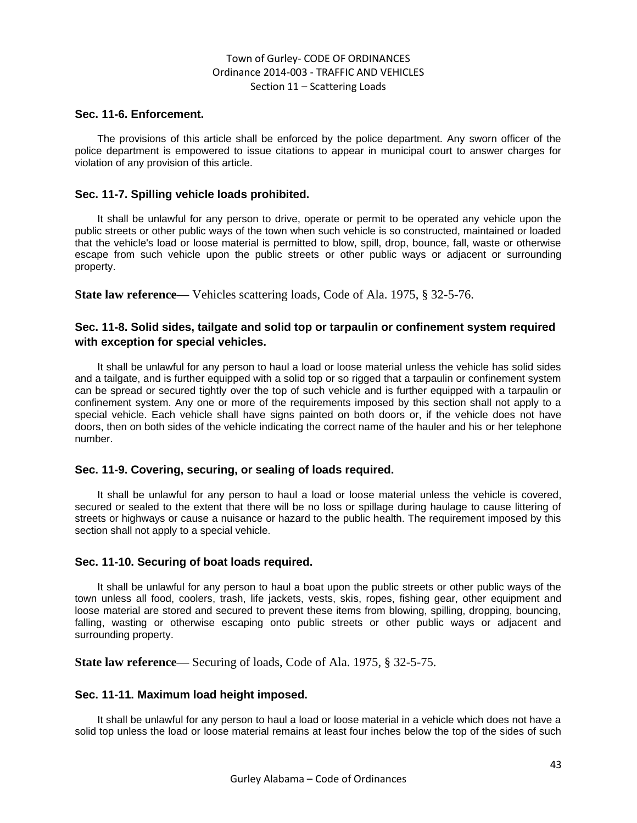#### **Sec. 11-6. Enforcement.**

The provisions of this article shall be enforced by the police department. Any sworn officer of the police department is empowered to issue citations to appear in municipal court to answer charges for violation of any provision of this article.

### **Sec. 11-7. Spilling vehicle loads prohibited.**

It shall be unlawful for any person to drive, operate or permit to be operated any vehicle upon the public streets or other public ways of the town when such vehicle is so constructed, maintained or loaded that the vehicle's load or loose material is permitted to blow, spill, drop, bounce, fall, waste or otherwise escape from such vehicle upon the public streets or other public ways or adjacent or surrounding property.

**State law reference—** Vehicles scattering loads, Code of Ala. 1975, § 32-5-76.

## **Sec. 11-8. Solid sides, tailgate and solid top or tarpaulin or confinement system required with exception for special vehicles.**

It shall be unlawful for any person to haul a load or loose material unless the vehicle has solid sides and a tailgate, and is further equipped with a solid top or so rigged that a tarpaulin or confinement system can be spread or secured tightly over the top of such vehicle and is further equipped with a tarpaulin or confinement system. Any one or more of the requirements imposed by this section shall not apply to a special vehicle. Each vehicle shall have signs painted on both doors or, if the vehicle does not have doors, then on both sides of the vehicle indicating the correct name of the hauler and his or her telephone number.

### **Sec. 11-9. Covering, securing, or sealing of loads required.**

It shall be unlawful for any person to haul a load or loose material unless the vehicle is covered, secured or sealed to the extent that there will be no loss or spillage during haulage to cause littering of streets or highways or cause a nuisance or hazard to the public health. The requirement imposed by this section shall not apply to a special vehicle.

### **Sec. 11-10. Securing of boat loads required.**

It shall be unlawful for any person to haul a boat upon the public streets or other public ways of the town unless all food, coolers, trash, life jackets, vests, skis, ropes, fishing gear, other equipment and loose material are stored and secured to prevent these items from blowing, spilling, dropping, bouncing, falling, wasting or otherwise escaping onto public streets or other public ways or adjacent and surrounding property.

**State law reference—** Securing of loads, Code of Ala. 1975, § 32-5-75.

### **Sec. 11-11. Maximum load height imposed.**

It shall be unlawful for any person to haul a load or loose material in a vehicle which does not have a solid top unless the load or loose material remains at least four inches below the top of the sides of such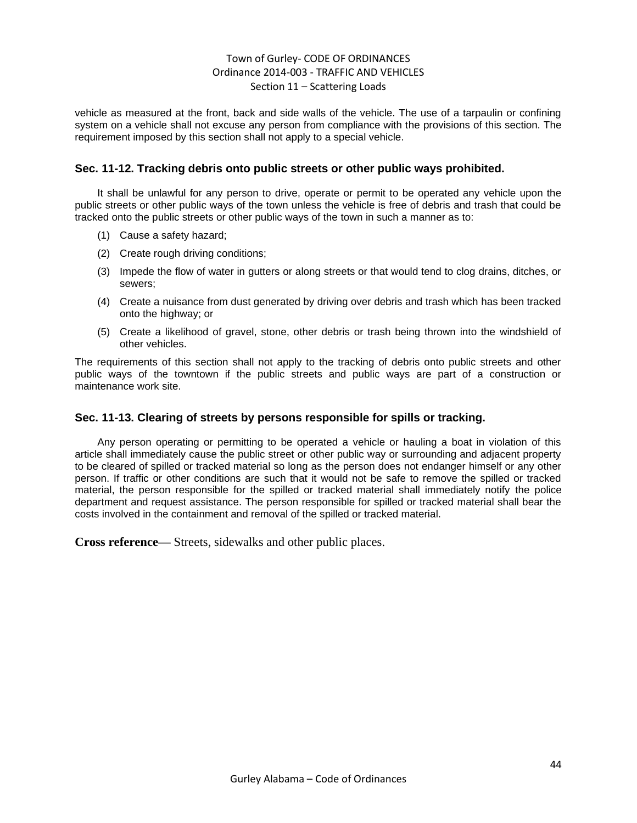vehicle as measured at the front, back and side walls of the vehicle. The use of a tarpaulin or confining system on a vehicle shall not excuse any person from compliance with the provisions of this section. The requirement imposed by this section shall not apply to a special vehicle.

#### **Sec. 11-12. Tracking debris onto public streets or other public ways prohibited.**

It shall be unlawful for any person to drive, operate or permit to be operated any vehicle upon the public streets or other public ways of the town unless the vehicle is free of debris and trash that could be tracked onto the public streets or other public ways of the town in such a manner as to:

- (1) Cause a safety hazard;
- (2) Create rough driving conditions;
- (3) Impede the flow of water in gutters or along streets or that would tend to clog drains, ditches, or sewers;
- (4) Create a nuisance from dust generated by driving over debris and trash which has been tracked onto the highway; or
- (5) Create a likelihood of gravel, stone, other debris or trash being thrown into the windshield of other vehicles.

The requirements of this section shall not apply to the tracking of debris onto public streets and other public ways of the towntown if the public streets and public ways are part of a construction or maintenance work site.

### **Sec. 11-13. Clearing of streets by persons responsible for spills or tracking.**

Any person operating or permitting to be operated a vehicle or hauling a boat in violation of this article shall immediately cause the public street or other public way or surrounding and adjacent property to be cleared of spilled or tracked material so long as the person does not endanger himself or any other person. If traffic or other conditions are such that it would not be safe to remove the spilled or tracked material, the person responsible for the spilled or tracked material shall immediately notify the police department and request assistance. The person responsible for spilled or tracked material shall bear the costs involved in the containment and removal of the spilled or tracked material.

**Cross reference—** Streets, sidewalks and other public places.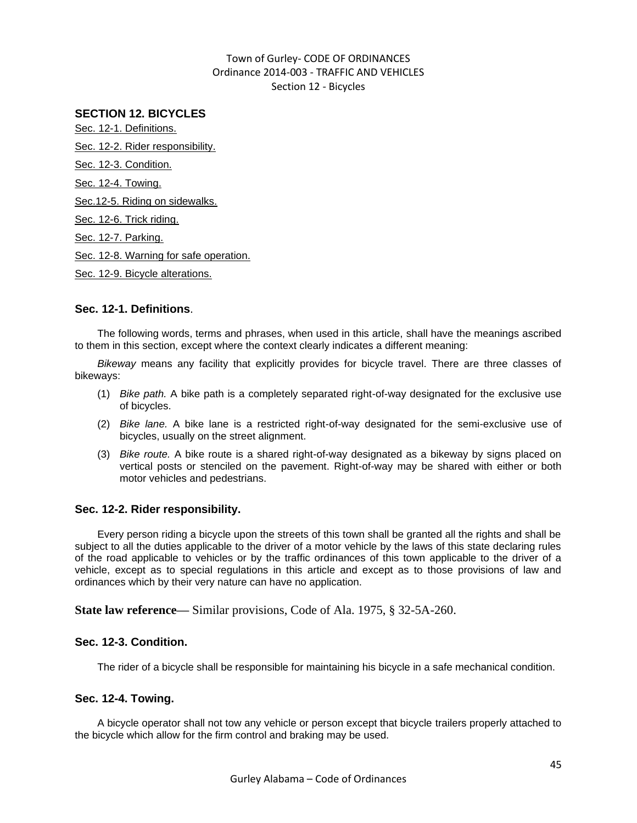## Town of Gurley- CODE OF ORDINANCES Ordinance 2014-003 - TRAFFIC AND VEHICLES Section 12 - Bicycles

## **SECTION 12. BICYCLES**

Sec. 12-1. Definitions. Sec. 12-2. Rider responsibility.

Sec. 12-3. Condition.

Sec. 12-4. Towing.

Sec.12-5. Riding on sidewalks.

Sec. 12-6. Trick riding.

Sec. 12-7. Parking.

Sec. 12-8. Warning for safe operation.

Sec. 12-9. Bicycle alterations.

## **Sec. 12-1. Definitions**.

The following words, terms and phrases, when used in this article, shall have the meanings ascribed to them in this section, except where the context clearly indicates a different meaning:

*Bikeway* means any facility that explicitly provides for bicycle travel. There are three classes of bikeways:

- (1) *Bike path.* A bike path is a completely separated right-of-way designated for the exclusive use of bicycles.
- (2) *Bike lane.* A bike lane is a restricted right-of-way designated for the semi-exclusive use of bicycles, usually on the street alignment.
- (3) *Bike route.* A bike route is a shared right-of-way designated as a bikeway by signs placed on vertical posts or stenciled on the pavement. Right-of-way may be shared with either or both motor vehicles and pedestrians.

### **Sec. 12-2. Rider responsibility.**

Every person riding a bicycle upon the streets of this town shall be granted all the rights and shall be subject to all the duties applicable to the driver of a motor vehicle by the laws of this state declaring rules of the road applicable to vehicles or by the traffic ordinances of this town applicable to the driver of a vehicle, except as to special regulations in this article and except as to those provisions of law and ordinances which by their very nature can have no application.

**State law reference—** Similar provisions, Code of Ala. 1975, § 32-5A-260.

## **Sec. 12-3. Condition.**

The rider of a bicycle shall be responsible for maintaining his bicycle in a safe mechanical condition.

### **Sec. 12-4. Towing.**

A bicycle operator shall not tow any vehicle or person except that bicycle trailers properly attached to the bicycle which allow for the firm control and braking may be used.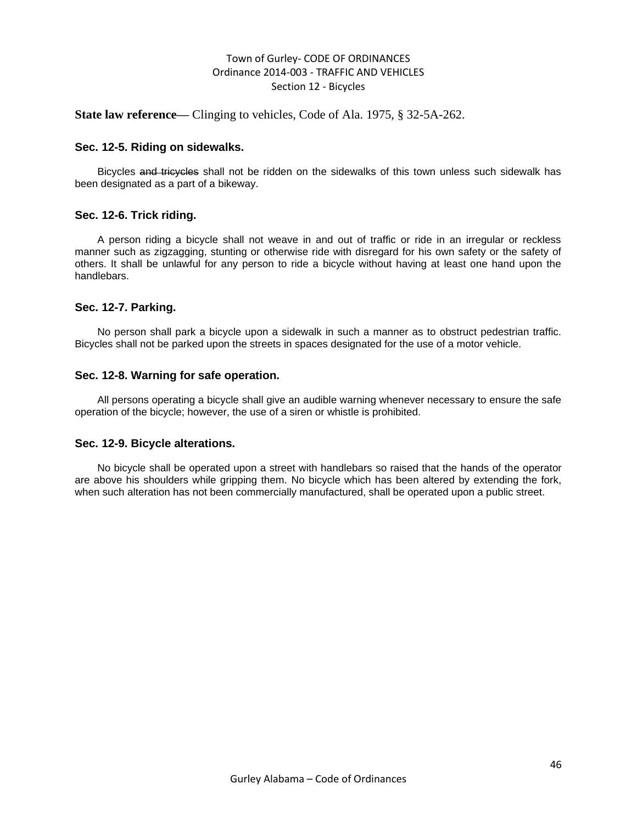## Town of Gurley- CODE OF ORDINANCES Ordinance 2014-003 - TRAFFIC AND VEHICLES Section 12 - Bicycles

**State law reference—** Clinging to vehicles, Code of Ala. 1975, § 32-5A-262.

#### **Sec. 12-5. Riding on sidewalks.**

Bicycles and tricycles shall not be ridden on the sidewalks of this town unless such sidewalk has been designated as a part of a bikeway.

### **Sec. 12-6. Trick riding.**

A person riding a bicycle shall not weave in and out of traffic or ride in an irregular or reckless manner such as zigzagging, stunting or otherwise ride with disregard for his own safety or the safety of others. It shall be unlawful for any person to ride a bicycle without having at least one hand upon the handlebars.

#### **Sec. 12-7. Parking.**

No person shall park a bicycle upon a sidewalk in such a manner as to obstruct pedestrian traffic. Bicycles shall not be parked upon the streets in spaces designated for the use of a motor vehicle.

#### **Sec. 12-8. Warning for safe operation.**

All persons operating a bicycle shall give an audible warning whenever necessary to ensure the safe operation of the bicycle; however, the use of a siren or whistle is prohibited.

#### **Sec. 12-9. Bicycle alterations.**

No bicycle shall be operated upon a street with handlebars so raised that the hands of the operator are above his shoulders while gripping them. No bicycle which has been altered by extending the fork, when such alteration has not been commercially manufactured, shall be operated upon a public street.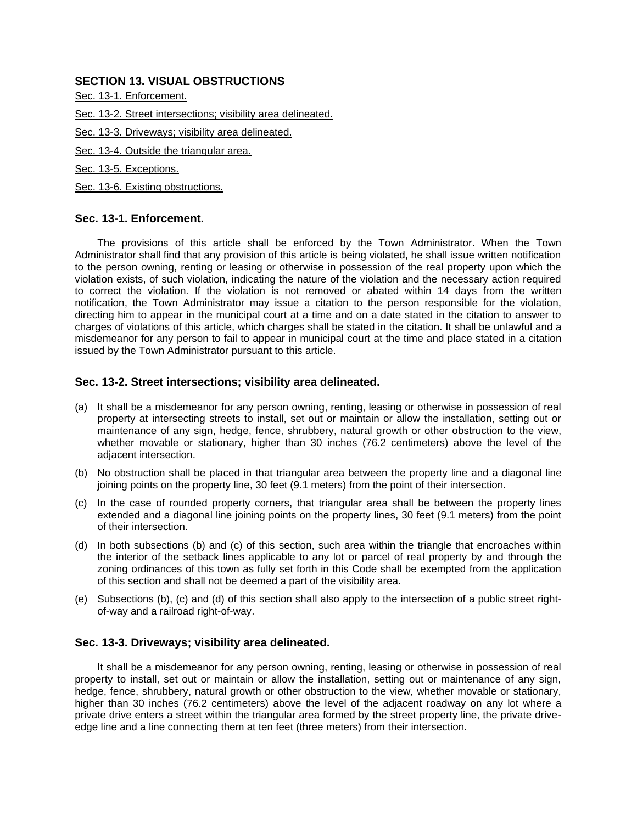## **SECTION 13. VISUAL OBSTRUCTIONS**

Sec. 13-1. Enforcement.

Sec. 13-2. Street intersections; visibility area delineated.

Sec. 13-3. Driveways; visibility area delineated.

Sec. 13-4. Outside the triangular area.

Sec. 13-5. Exceptions.

Sec. 13-6. Existing obstructions.

### **Sec. 13-1. Enforcement.**

The provisions of this article shall be enforced by the Town Administrator. When the Town Administrator shall find that any provision of this article is being violated, he shall issue written notification to the person owning, renting or leasing or otherwise in possession of the real property upon which the violation exists, of such violation, indicating the nature of the violation and the necessary action required to correct the violation. If the violation is not removed or abated within 14 days from the written notification, the Town Administrator may issue a citation to the person responsible for the violation, directing him to appear in the municipal court at a time and on a date stated in the citation to answer to charges of violations of this article, which charges shall be stated in the citation. It shall be unlawful and a misdemeanor for any person to fail to appear in municipal court at the time and place stated in a citation issued by the Town Administrator pursuant to this article.

#### **Sec. 13-2. Street intersections; visibility area delineated.**

- (a) It shall be a misdemeanor for any person owning, renting, leasing or otherwise in possession of real property at intersecting streets to install, set out or maintain or allow the installation, setting out or maintenance of any sign, hedge, fence, shrubbery, natural growth or other obstruction to the view, whether movable or stationary, higher than 30 inches (76.2 centimeters) above the level of the adjacent intersection.
- (b) No obstruction shall be placed in that triangular area between the property line and a diagonal line joining points on the property line, 30 feet (9.1 meters) from the point of their intersection.
- (c) In the case of rounded property corners, that triangular area shall be between the property lines extended and a diagonal line joining points on the property lines, 30 feet (9.1 meters) from the point of their intersection.
- (d) In both subsections (b) and (c) of this section, such area within the triangle that encroaches within the interior of the setback lines applicable to any lot or parcel of real property by and through the zoning ordinances of this town as fully set forth in this Code shall be exempted from the application of this section and shall not be deemed a part of the visibility area.
- (e) Subsections (b), (c) and (d) of this section shall also apply to the intersection of a public street rightof-way and a railroad right-of-way.

### **Sec. 13-3. Driveways; visibility area delineated.**

It shall be a misdemeanor for any person owning, renting, leasing or otherwise in possession of real property to install, set out or maintain or allow the installation, setting out or maintenance of any sign, hedge, fence, shrubbery, natural growth or other obstruction to the view, whether movable or stationary, higher than 30 inches (76.2 centimeters) above the level of the adjacent roadway on any lot where a private drive enters a street within the triangular area formed by the street property line, the private driveedge line and a line connecting them at ten feet (three meters) from their intersection.